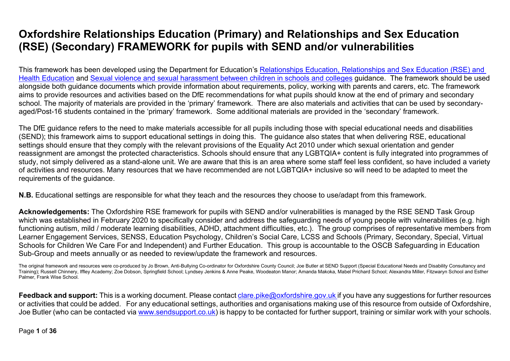# **Oxfordshire Relationships Education (Primary) and Relationships and Sex Education (RSE) (Secondary) FRAMEWORK for pupils with SEND and/or vulnerabilities**

This framework has been developed using the Department for Education's [Relationships Education, Relationships and Sex Education \(RSE\) and](https://www.gov.uk/government/publications/relationships-education-relationships-and-sex-education-rse-and-health-education)  [Health Education](https://www.gov.uk/government/publications/relationships-education-relationships-and-sex-education-rse-and-health-education) and [Sexual violence and sexual harassment between children in schools and colleges](https://www.gov.uk/government/publications/sexual-violence-and-sexual-harassment-between-children-in-schools-and-colleges) guidance. The framework should be used alongside both guidance documents which provide information about requirements, policy, working with parents and carers, etc. The framework aims to provide resources and activities based on the DfE recommendations for what pupils should know at the end of primary and secondary school. The majority of materials are provided in the 'primary' framework. There are also materials and activities that can be used by secondaryaged/Post-16 students contained in the 'primary' framework. Some additional materials are provided in the 'secondary' framework.

The DfE guidance refers to the need to make materials accessible for all pupils including those with special educational needs and disabilities (SEND); this framework aims to support educational settings in doing this. The guidance also states that when delivering RSE, educational settings should ensure that they comply with the relevant provisions of the Equality Act 2010 under which sexual orientation and gender reassignment are amongst the protected characteristics. Schools should ensure that any LGBTQIA+ content is fully integrated into programmes of study, not simply delivered as a stand-alone unit. We are aware that this is an area where some staff feel less confident, so have included a variety of activities and resources. Many resources that we have recommended are not LGBTQIA+ inclusive so will need to be adapted to meet the requirements of the guidance.

**N.B.** Educational settings are responsible for what they teach and the resources they choose to use/adapt from this framework.

**Acknowledgements:** The Oxfordshire RSE framework for pupils with SEND and/or vulnerabilities is managed by the RSE SEND Task Group which was established in February 2020 to specifically consider and address the safeguarding needs of young people with vulnerabilities (e.g. high functioning autism, mild / moderate learning disabilities, ADHD, attachment difficulties, etc.). The group comprises of representative members from Learner Engagement Services, SENSS, Education Psychology, Children's Social Care, LCSS and Schools (Primary, Secondary, Special, Virtual Schools for Children We Care For and Independent) and Further Education. This group is accountable to the OSCB Safeguarding in Education Sub-Group and meets annually or as needed to review/update the framework and resources.

The original framework and resources were co-produced by Jo Brown, Anti-Bullying Co-ordinator for Oxfordshire County Council; Joe Butler at SEND Support (Special Educational Needs and Disability Consultancy and Training); Russell Chinnery, Iffley Academy; Zoe Dobson, Springfield School; Lyndsey Jenkins & Anne Peake, Woodeaton Manor; Amanda Makoka, Mabel Prichard School; Alexandra Miller, Fitzwaryn School and Esther Palmer, Frank Wise School.

**Feedback and support:** This is a working document. Please contact [clare.pike@oxfordshire.gov.uk i](mailto:clare.pike@oxfordshire.gov.uk)f you have any suggestions for further resources or activities that could be added. For any educational settings, authorities and organisations making use of this resource from outside of Oxfordshire, Joe Butler (who can be contacted via [www.sendsupport.co.uk\)](http://www.sendsupport.co.uk/) is happy to be contacted for further support, training or similar work with your schools.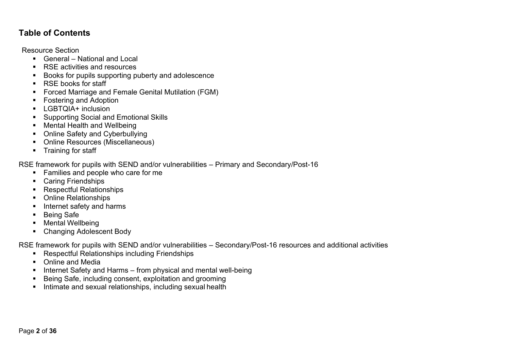# **Table of Contents**

Resource Section

- General National and Local
- RSE activities and resources
- Books for pupils supporting puberty and adolescence
- RSE books for staff
- Forced Marriage and Female Genital Mutilation (FGM)
- Fostering and Adoption
- LGBTQIA+ inclusion
- **Supporting Social and Emotional Skills**
- Mental Health and Wellbeing
- **Online Safety and Cyberbullying**
- **Online Resources (Miscellaneous)**
- **•** Training for staff

RSE framework for pupils with SEND and/or vulnerabilities – Primary and Secondary/Post-16

- Families and people who care for me
- Caring Friendships
- Respectful Relationships
- **Online Relationships**
- Internet safety and harms
- Being Safe
- Mental Wellbeing
- Changing Adolescent Body

RSE framework for pupils with SEND and/or vulnerabilities – Secondary/Post-16 resources and additional activities

- Respectful Relationships including Friendships
- Online and Media
- Internet Safety and Harms from physical and mental well-being
- Being Safe, including consent, exploitation and grooming
- **E** Intimate and sexual relationships, including sexual health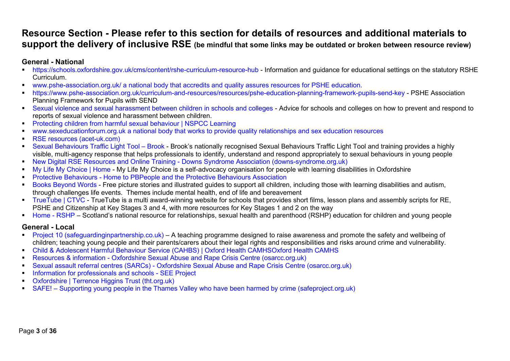# **Resource Section - Please refer to this section for details of resources and additional materials to support the delivery of inclusive RSE (be mindful that some links may be outdated or broken between resource review)**

#### **General - National**

- <https://schools.oxfordshire.gov.uk/cms/content/rshe-curriculum-resource-hub> Information and guidance for educational settings on the statutory RSHE Curriculum.
- [www.pshe-association.org.uk/ a national body that accredits and quality assures resources for PSHE education.](http://www.pshe-association.org.uk/%20a%20national%20body%20that%20accredits%20and%20quality%20assures%20resources%20for%20PSHE%20education.)
- <https://www.pshe-association.org.uk/curriculum-and-resources/resources/pshe-education-planning-framework-pupils-send-key> PSHE Association Planning Framework for Pupils with SEND
- [Sexual violence and sexual harassment between children in schools and colleges](https://www.gov.uk/government/publications/sexual-violence-and-sexual-harassment-between-children-in-schools-and-colleges) Advice for schools and colleges on how to prevent and respond to reports of sexual violence and harassment between children.
- [Protecting children from harmful sexual behaviour | NSPCC Learning](https://learning.nspcc.org.uk/child-abuse-and-neglect/harmful-sexual-behaviour)
- www.sexeducationforum.org.uk a national body that works to provide quality relationships and sex education resources
- [RSE resources \(acet-uk.com\)](https://www.acet-uk.com/resources)
- [Sexual Behaviours Traffic Light Tool](https://www.brook.org.uk/training/wider-professional-training/sexual-behaviours-traffic-light-tool/)  Brook Brook's nationally recognised Sexual Behaviours Traffic Light Tool and training provides a highly visible, multi-agency response that helps professionals to identify, understand and respond appropriately to sexual behaviours in young people
- **EXECT:** New Digital RSE Resources and Online Training [Downs Syndrome Association \(downs-syndrome.org.uk\)](https://www.downs-syndrome.org.uk/news/news-research/dsa-news/new-digital-rse-resources-and-online-training/)
- [My Life My Choice | Home](https://www.mylifemychoice.org.uk/) My Life My Choice is a self-advocacy organisation for people with learning disabilities in Oxfordshire
- **Example 2** Protective Behaviours [Home to PBPeople and the Protective Behaviours Association](https://www.protectivebehaviours.org/)
- [Books Beyond Words](https://booksbeyondwords.co.uk/) Free picture stories and illustrated guides to support all children, including those with learning disabilities and autism, through challenges life events. Themes include mental health, end of life and bereavement
- **[TrueTube | CTVC](https://www.ctvc.co.uk/work/truetube/truetube)** TrueTube is a multi award-winning website for schools that provides short films, lesson plans and assembly scripts for RE, PSHE and Citizenship at Key Stages 3 and 4, with more resources for Key Stages 1 and 2 on the way
- [Home -](https://rshp.scot/) RSHP Scotland's national resource for relationships, sexual health and parenthood (RSHP) education for children and young people

#### **General - Local**

- **•** [Project 10 \(safeguardinginpartnership.co.uk\)](https://safeguardinginpartnership.co.uk/project-10/) A teaching programme designed to raise awareness and promote the safety and wellbeing of children; teaching young people and their parents/carers about their legal rights and responsibilities and risks around crime and vulnerability.
- [Child & Adolescent Harmful Behaviour Service \(CAHBS\) | Oxford Health CAMHSOxford Health CAMHS](https://www.oxfordhealth.nhs.uk/camhs/oxon/cahbs/)
- Resources & information [Oxfordshire Sexual Abuse and Rape Crisis Centre \(osarcc.org.uk\)](https://www.osarcc.org.uk/resources-information/)
- **Exual assault referral centres (SARCs) [Oxfordshire Sexual Abuse and Rape Crisis Centre \(osarcc.org.uk\)](https://www.osarcc.org.uk/resources-information/ive-just-been-raped/sexual-assault-referral-centres/)**
- **[Information for professionals and schools -](https://www.seeproject.org.uk/information-for-professionals-and-schools/) SEE Project**
- [Oxfordshire | Terrence Higgins Trust \(tht.org.uk\)](https://www.tht.org.uk/centres-and-services/oxfordshire)
- SAFE! [Supporting young people in the Thames Valley who have been harmed by crime \(safeproject.org.uk\)](https://www.safeproject.org.uk/how-we-work.php)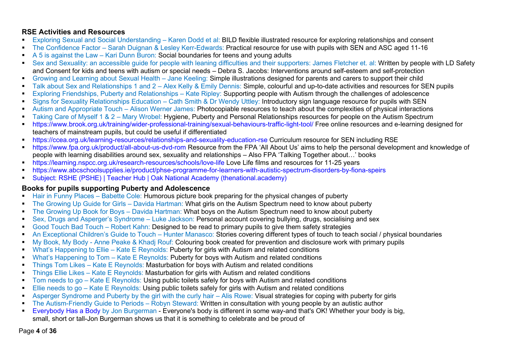#### **RSE Activities and Resources**

- Exploring Sexual and Social Understanding Karen Dodd et al: BILD flexible illustrated resource for exploring relationships and consent
- The Confidence Factor Sarah Duignan & Lesley Kerr-Edwards: Practical resource for use with pupils with SEN and ASC aged 11-16
- A 5 is against the Law Kari Dunn Buron: Social boundaries for teens and young adults
- Sex and Sexuality: an accessible guide for people with leaning difficulties and their supporters: James Fletcher et. al: Written by people with LD Safety and Consent for kids and teens with autism or special needs – Debra S. Jacobs: Interventions around self-esteem and self-protection
- Growing and Learning about Sexual Health Jane Keeling: Simple illustrations designed for parents and carers to support their child
- Talk about Sex and Relationships 1 and 2 Alex Kelly & Emily Dennis: Simple, colourful and up-to-date activities and resources for SEN pupils
- Exploring Friendships, Puberty and Relationships Kate Ripley: Supporting people with Autism through the challenges of adolescence
- Signs for Sexuality Relationships Education Cath Smith & Dr Wendy Uttley: Introductory sign language resource for pupils with SEN
- Autism and Appropriate Touch Alison Werner James: Photocopiable resources to teach about the complexities of physical interactions
- Taking Care of Myself 1 & 2 Mary Wrobel: Hygiene, Puberty and Personal Relationships resources for people on the Autism Spectrum
- <https://www.brook.org.uk/training/wider-professional-training/sexual-behaviours-traffic-light-tool/> Free online resources and e-learning designed for teachers of mainstream pupils, but could be useful if differentiated
- <https://ccea.org.uk/learning-resources/relationships-and-sexuality-education-rse> Curriculum resource for SEN including RSE
- <https://www.fpa.org.uk/product/all-about-us-dvd-rom> Resource from the FPA 'All About Us' aims to help the personal development and knowledge of people with learning disabilities around sex, sexuality and relationships – Also FPA 'Talking Together about…' books
- <https://learning.nspcc.org.uk/research-resources/schools/love-life> Love Life films and resources for 11-25 years
- <https://www.abcschoolsupplies.ie/product/phse-programme-for-learners-with-autistic-spectrum-disorders-by-fiona-speirs>
- [Subject: RSHE \(PSHE\) | Teacher Hub | Oak National Academy \(thenational.academy\)](https://teachers.thenational.academy/subjects/rshe-pshe)

#### **Books for pupils supporting Puberty and Adolescence**

- Hair in Funny Places Babette Cole: Humorous picture book preparing for the physical changes of puberty
- The Growing Up Guide for Girls Davida Hartman: What girls on the Autism Spectrum need to know about puberty
- The Growing Up Book for Boys Davida Hartman: What boys on the Autism Spectrum need to know about puberty
- Sex, Drugs and Asperger's Syndrome Luke Jackson: Personal account covering bullying, drugs, socialising and sex
- Good Touch Bad Touch Robert Kahn: Designed to be read to primary pupils to give them safety strategies
- An Exceptional Children's Guide to Touch Hunter Manasco: Stories covering different types of touch to teach social / physical boundaries
- My Book, My Body Anne Peake & Khadj Rouf: Colouring book created for prevention and disclosure work with primary pupils
- What's Happening to Ellie Kate E Reynolds: Puberty for girls with Autism and related conditions
- What's Happening to Tom Kate E Reynolds: Puberty for boys with Autism and related conditions
- **Things Tom Likes Kate E Reynolds: Masturbation for boys with Autism and related conditions**
- **Things Ellie Likes Kate E Reynolds: Masturbation for girls with Autism and related conditions**
- Tom needs to go Kate E Reynolds: Using public toilets safely for boys with Autism and related conditions
- Ellie needs to go Kate E Reynolds: Using public toilets safely for girls with Autism and related conditions
- Asperger Syndrome and Puberty by the girl with the curly hair Alis Rowe: Visual strategies for coping with puberty for girls
- The Autism-Friendly Guide to Periods Robyn Steward: Written in consultation with young people by an autistic author
- [Everybody Has a Body](https://www.waterstones.com/book/everybody-has-a-body/jon-burgerman/9780192766038) by Jon Burgerman Everyone's body is different in some way-and that's OK! Whether your body is big, small, short or tall-Jon Burgerman shows us that it is something to celebrate and be proud of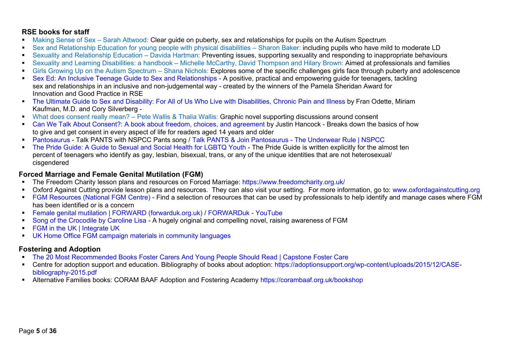#### **RSE books for staff**

- Making Sense of Sex Sarah Attwood: Clear guide on puberty, sex and relationships for pupils on the Autism Spectrum
- Sex and Relationship Education for young people with physical disabilities Sharon Baker: including pupils who have mild to moderate LD
- Sexuality and Relationship Education Davida Hartman: Preventing issues, supporting sexuality and responding to inappropriate behaviours
- Sexuality and Learning Disabilities: a handbook Michelle McCarthy, David Thompson and Hilary Brown: Aimed at professionals and families
- Girls Growing Up on the Autism Spectrum Shana Nichols: Explores some of the specific challenges girls face through puberty and adolescence
- [Sex Ed: An Inclusive Teenage Guide to Sex and Relationships](https://www.waterstones.com/book/sex-ed-an-inclusive-teenage-guide-to-sex-and-relationships/school-of-sexuality-education/9781406399080) A positive, practical and empowering guide for teenagers, tackling sex and relationships in an inclusive and non-judgemental way - created by the winners of the Pamela Sheridan Award for Innovation and Good Practice in RSE
- [The Ultimate Guide to Sex and Disability: For All of Us Who Live with Disabilities, Chronic Pain and Illness](https://www.amazon.co.uk/Ultimate-Guide-Sex-Disability-Disabilities/dp/B00FZS6O3Y) by Fran Odette, Miriam Kaufman, M.D. and Cory Silverberg -
- What does consent really mean? Pete Wallis & Thalia Wallis: Graphic novel supporting discussions around consent
- [Can We Talk About Consent?: A book about freedom, choices, and agreement](https://www.amazon.co.uk/Can-Talk-About-Consent-agreement/dp/071125656X) by Justin Hancock Breaks down the basics of how to give and get consent in every aspect of life for readers aged 14 years and older
- [Pantosaurus](https://www.youtube.com/watch?v=JqJOlA__91E) Talk PANTS with NSPCC Pants song / [Talk PANTS & Join Pantosaurus -](https://www.nspcc.org.uk/keeping-children-safe/support-for-parents/pants-underwear-rule/) The Underwear Rule | NSPCC
- **•** [The Pride Guide: A Guide to Sexual and Social Health for LGBTQ Youth](https://books.google.co.uk/books/about/The_Pride_Guide.html?id=EsFTDwAAQBAJ&redir_esc=y) The Pride Guide is written explicitly for the almost ten percent of teenagers who identify as gay, lesbian, bisexual, trans, or any of the unique identities that are not heterosexual/ cisgendered

#### **Forced Marriage and Female Genital Mutilation (FGM)**

- The Freedom Charity lesson plans and resources on Forced Marriage:<https://www.freedomcharity.org.uk/>
- Oxford Against Cutting provide lesson plans and resources. They can also visit your setting. For more information, go to: [www.oxfordagainstcutting.org](http://www.oxfordagainstcutting.org/)
- [FGM Resources \(National FGM Centre\)](http://nationalfgmcentre.org.uk/fgm/fgm-resources/) Find a selection of resources that can be used by professionals to help identify and manage cases where FGM has been identified or is a concern
- [Female genital mutilation | FORWARD \(forwarduk.org.uk\)](https://www.forwarduk.org.uk/violence-against-women-and-girls/female-genital-mutilation/) / [FORWARDuk -](https://www.youtube.com/user/FORWARDuk) YouTube
- [Song of the Crocodile by Caroline Lisa](https://www.amazon.co.uk/Song-Crocodile-original-compelling-awareness-ebook/dp/B07V8745T8) A hugely original and compelling novel, raising awareness of FGM
- **EXAGORD [FGM in the UK | Integrate UK](https://integrateuk.org/fgm-in-the-uk/)**
- **EXECT:** [UK Home Office FGM campaign materials in community languages](https://www.gov.uk/government/publications/fgm-campaign-materials)

#### **Fostering and Adoption**

- **EXECT:** [The 20 Most Recommended Books Foster Carers And Young People Should Read | Capstone Foster Care](https://www.capstonefostercare.co.uk/knowledge-centre/the-20-most-recommended-books-foster-carers-and-young-people-should-read)
- Centre for adoption support and education. Bibliography of books about adoption: [https://adoptionsupport.org/wp-content/uploads/2015/12/CASE](https://adoptionsupport.org/wp-content/uploads/2015/12/CASE-bibliography-2015.pdf)[bibliography-2015.pdf](https://adoptionsupport.org/wp-content/uploads/2015/12/CASE-bibliography-2015.pdf)
- Alternative Families books: CORAM BAAF Adoption and Fostering Academy<https://corambaaf.org.uk/bookshop>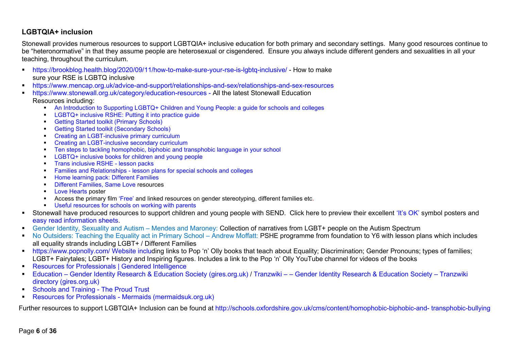### **LGBTQIA+ inclusion**

Stonewall provides numerous resources to support LGBTQIA+ inclusive education for both primary and secondary settings. Many good resources continue to be "heteronormative" in that they assume people are heterosexual or cisgendered. Ensure you always include different genders and sexualities in all your teaching, throughout the curriculum.

- <https://brookblog.health.blog/2020/09/11/how-to-make-sure-your-rse-is-lgbtq-inclusive/> How to make sure your RSE is LGBTQ inclusive
- <https://www.mencap.org.uk/advice-and-support/relationships-and-sex/relationships-and-sex-resources>
- <https://www.stonewall.org.uk/category/education-resources> All the latest Stonewall Education Resources including:
	- **In [An Introduction to Supporting LGBTQ+ Children and Young People: a guide for schools and colleges](https://oxfordshirecountycouncil-my.sharepoint.com/personal/qo857821_oxfordshire_gov_uk/Documents/o%09https:/www.stonewall.org.uk/sites/default/files/final_-_an_intro_to_supporting_lgbt_young_people_-_april2022.pdf)**
	- **[LGBTQ+ inclusive RSHE: Putting it into practice guide](https://www.stonewall.org.uk/resources/lgbtq-inclusive-rshe-putting-it-practice-guide)**
	- **[Getting Started toolkit \(Primary Schools\)](https://www.stonewall.org.uk/resources/getting-started-toolkit-primary-schools)**
	- **EXECUTE:** [Getting Started toolkit \(Secondary Schools\)](https://www.stonewall.org.uk/resources/getting-started-toolkit-secondary-schools)
	- **[Creating an LGBT-inclusive primary curriculum](https://www.stonewall.org.uk/resources/creating-lgbt-inclusive-primary-curriculum)**
	- **[Creating an LGBT-inclusive secondary curriculum](https://www.stonewall.org.uk/resources/creating-lgbt-inclusive-secondary-curriculum)**
	- [Ten steps to tackling homophobic, biphobic and transphobic language in your school](https://www.stonewall.org.uk/resources/ten-steps-tackling-homophobic-biphobic-and-transphobic-language-your-school)
	- **EXECTO**+ inclusive books for children and young people
	- [Trans inclusive RSHE -](https://www.stonewall.org.uk/resources/trans-inclusive-rshe-lesson-packs) lesson packs
	- **Eamilies and Relationships [lesson plans for special schools and colleges](https://www.stonewall.org.uk/resources/families-and-relationships-lesson-plans-special-schools-and-colleges)**
	- [Home learning pack: Different Families](https://www.stonewall.org.uk/resources/home-learning-pack-different-families)
	- **E.** [Different Families, Same Love](https://www.stonewall.org.uk/system/files/different_families_same_love_pack-2021.pdf) resources
	- [Love Hearts](https://www.stonewall.org.uk/resources/love-hearts-poster) poster
	- Access the primary film ['Free'](https://www.stonewall.org.uk/resources/free-film) and linked resources on gender stereotyping, different families etc.
	- **EXECUTE:** [Useful resources for schools on working with parents](https://www.stonewall.org.uk/resources/useful-resources-schools-working-parents)
- Stonewall have produced resources to support children and young people with SEND. Click here to preview their excellent ['It's OK'](https://www.stonewall.org.uk/resources/its-ok-widgit-supported-posters) symbol posters and [easy read information sheets.](https://www.stonewall.org.uk/best-practice-toolkits-and-resources-0)
- Gender Identity, Sexuality and Autism Mendes and Maroney: Collection of narratives from LGBT+ people on the Autism Spectrum
- No Outsiders: Teaching the Equality act in Primary School Andrew Moffatt: PSHE programme from foundation to Y6 with lesson plans which includes all equality strands including LGBT+ / Different Families
- **Intitionary included including links to Pop** 'n' Olly books that teach about Equality; Discrimination; Gender Pronouns; types of families; LGBT+ Fairytales; LGBT+ History and Inspiring figures. Includes a link to the Pop 'n' Olly YouTube channel for videos of the books
- [Resources for Professionals | Gendered Intelligence](https://genderedintelligence.co.uk/professionals/resources.html)
- Education [Gender Identity Research & Education Society \(gires.org.uk\)](https://www.gires.org.uk/category/education/) / Tranzwiki – [Gender Identity Research & Education Society](https://www.gires.org.uk/tranzwiki/)  Tranzwiki [directory \(gires.org.uk\)](https://www.gires.org.uk/tranzwiki/)
- **Exercise [Schools and Training -](https://www.theproudtrust.org/schools-and-training/) The Proud Trust**
- **EXECUTE: Resources for Professionals [Mermaids \(mermaidsuk.org.uk\)](https://mermaidsuk.org.uk/professionals/resources-for-professionals/)**

Further resources to support LGBTQIA+ Inclusion can be found at [http://schools.oxfordshire.gov.uk/cms/content/homophobic-biphobic-and-](https://schools.oxfordshire.gov.uk/cms/content/homophobic-biphobic-and-transphobic-bullying) [transphobic-bullying](https://schools.oxfordshire.gov.uk/cms/content/homophobic-biphobic-and-transphobic-bullying)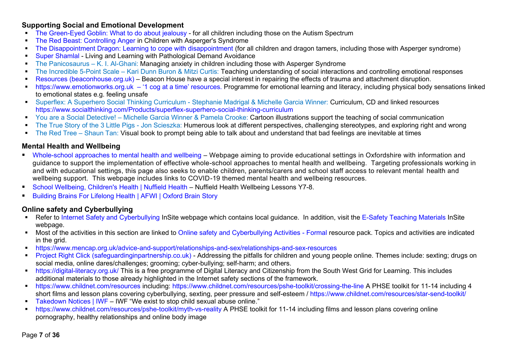### **Supporting Social and Emotional Development**

- **[The Green-Eyed Goblin: What to do about jealousy](https://www.amazon.co.uk/Green-Eyed-Goblin-jealousy-including-childrens/dp/178592091X) for all children including those on the Autism Spectrum**
- [The Red Beast: Controlling Anger](https://www.amazon.co.uk/Red-Beast-Controlling-Aspergers-childrens/dp/1843109433) in Children with Asperger's Syndrome
- [The Disappointment Dragon: Learning to cope with disappointment](https://www.amazon.co.uk/Disappointment-Dragon-disappointment-including-childrens/dp/1849054320/ref=sr_1_1?adgrpid=1174279316946946&hvadid=73392659374687&hvbmt=be&hvdev=c&hvlocphy=41642&hvnetw=o&hvqmt=e&hvtargid=kwd-73392593823628%3Aloc-188&hydadcr=24428_2219346&keywords=disappointment+dragon&qid=1653919571&sr=8-1) (for all children and dragon tamers, including those with Asperger syndrome)
- [Super Shamlal](https://www.amazon.co.uk/Super-Shamlal-Pathological-Avoidance-Childrens/dp/1787750566) Living and Learning with Pathological Demand Avoidance
- The Panicosaurus K. I. Al-Ghani: Managing anxiety in children including those with Asperger Syndrome
- The Incredible 5-Point Scale Kari Dunn Buron & Mitzi Curtis: Teaching understanding of social interactions and controlling emotional responses
- **EXECT** [Resources \(beaconhouse.org.uk\)](https://beaconhouse.org.uk/resources/) Beacon House have a special interest in repairing the effects of trauma and attachment disruption.
- https://www.emotionworks.org.uk '1 cog at a time' resources. Programme for emotional learning and literacy, including physical body sensations linked to emotional states e.g. feeling unsafe
- Superflex: A Superhero Social Thinking Curriculum Stephanie Madrigal & Michelle Garcia Winner: Curriculum, CD and linked resources <https://www.socialthinking.com/Products/superflex-superhero-social-thinking-curriculum>
- You are a Social Detective! Michelle Garcia Winner & Pamela Crooke: Cartoon illustrations support the teaching of social communication
- The True Story of the 3 Little Pigs Jon Scieszka: Humerous look at different perspectives, challenging stereotypes, and exploring right and wrong
- The Red Tree Shaun Tan: Visual book to prompt being able to talk about and understand that bad feelings are inevitable at times

#### **Mental Health and Wellbeing**

- [Whole-school approaches to mental health and wellbeing](https://schools.oxfordshire.gov.uk/cms/content/mental-health-and-wellbeing) Webpage aiming to provide educational settings in Oxfordshire with information and guidance to support the implementation of effective whole-school approaches to mental health and wellbeing. Targeting professionals working in and with educational settings, this page also seeks to enable children, parents/carers and school staff access to relevant mental health and wellbeing support. This webpage includes links to COVID-19 themed mental health and wellbeing resources.
- [School Wellbeing, Children's Health | Nuffield Health](https://www.nuffieldhealth.com/school-wellbeing) Nuffield Health Wellbeing Lessons Y7-8.
- [Building Brains For Lifelong Health | AFWI | Oxford Brain Story](https://www.oxfordbrainstory.org/)

#### **Online safety and Cyberbullying**

- Refer to [Internet Safety and Cyberbullying](https://schools.oxfordshire.gov.uk/cms/content/internet-safety-and-cyberbullying) InSite webpage which contains local guidance. In addition, visit the [E-Safety Teaching Materials](https://schools.oxfordshire.gov.uk/cms/content/e-safety-teaching-materials) InSite webpage.
- Most of the activities in this section are linked to Online safety and Cyberbullying Activities [Formal resource pack. Topics and activities are](https://search3.openobjects.com/mediamanager/oxfordshire/fsd/files/activities-to-support-online-safety-cberbullying-adapted-from-click-resource-pack.pdf) indicated in the grid.
- <https://www.mencap.org.uk/advice-and-support/relationships-and-sex/relationships-and-sex-resources>
- **[Project Right Click \(safeguardinginpartnership.co.uk\)](https://safeguardinginpartnership.co.uk/right-click/)** Addressing the pitfalls for children and young people online. Themes include: sexting; drugs on social media, online dares/challenges; grooming; cyber-bullying; self-harm; and others.
- <https://digital-literacy.org.uk/> This is a free programme of Digital Literacy and Citizenship from the South West Grid for Learning. This includes additional materials to those already highlighted in the Internet safety sections of the framework.
- [https://www.childnet.com/resources including:](https://www.childnet.com/resources) [https://www.childnet.com/resources/pshe-toolkit/crossing-the-line A PHSE toolkit for 11-14](https://www.childnet.com/resources/pshe-toolkit/crossing-the-line) including 4 short films and lesson plans covering cyberbullying, sexting, peer pressure and self-esteem /<https://www.childnet.com/resources/star-send-toolkit/>
- [Takedown Notices | IWF](https://www.iwf.org.uk/our-technology/our-services/takedown-notices/) IWF "We exist to stop child sexual abuse online."
- <https://www.childnet.com/resources/pshe-toolkit/myth-vs-reality> A PHSE toolkit for 11-14 including films and lesson plans covering online pornography, healthy relationships and online body image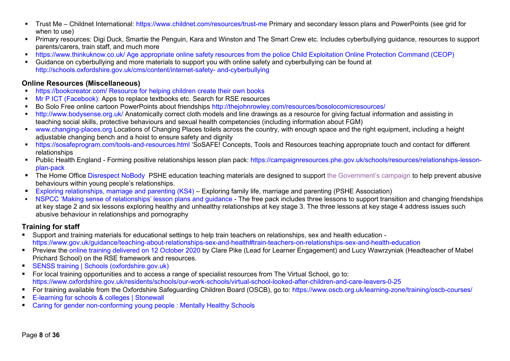- Trust Me Childnet International: [https://www.childnet.com/resources/trust-me Primary and secondary lesson plans and PowerPoints \(see grid](https://www.childnet.com/resources/trust-me) for when to use)
- Primary resources: Digi Duck, Smartie the Penguin, Kara and Winston and The Smart Crew etc. Includes cyberbullying guidance, resources to support parents/carers, train staff, and much more
- [https://www.thinkuknow.co.uk/ Age appropriate online safety resources from the police Child Exploitation Online Protection Command \(CEOP\)](https://www.thinkuknow.co.uk/%20Age%20appropriate%20online%20safety%20resources%20from%20the%20police%20Child%20Exploitation%20Online%20Protection%20Command%20(CEOP))
- Guidance on cyberbullying and more materials to support you with online safety and cyberbullying can be found at [http://schools.oxfordshire.gov.uk/cms/content/internet-safety-](http://schools.oxfordshire.gov.uk/cms/content/internet-safety-and-cyberbullying) [and-cyberbullying](http://schools.oxfordshire.gov.uk/cms/content/internet-safety-and-cyberbullying)

#### **Online Resources (Miscellaneous)**

- [https://bookcreator.com/ Resource for helping children create their own books](https://bookcreator.com/%20Resource%20for%20helping%20children%20create%20their%20own%20books)
- **I** [Mr P ICT \(Facebook\):](https://www.facebook.com/IctWithMrP/) Apps to replace textbooks etc. Search for RSE resources
- Bo Solo Free online cartoon PowerPoints about friendships<http://thejohnrowley.com/resources/bosolocomicresources/>
- <http://www.bodysense.org.uk/> Anatomically correct cloth models and line drawings as a resource for giving factual information and assisting in teaching social skills, protective behaviours and sexual health competencies (including information about FGM)
- [www.changing-places.org Locations of Changing Places toilets across the country, with enough space and the right equipment, including a](http://www.changing-places.org/) height adjustable changing bench and a hoist to ensure safety and dignity
- [https://sosafeprogram.com/tools-and-resources.html](https://goo.gl/images/WyBQhY%20PECS) 'SoSAFE! Concepts, Tools and Resources teaching appropriate touch and contact for different relationships
- Public Health England Forming positive relationships lesson plan pack: [https://campaignresources.phe.gov.uk/schools/resources/relationships-lesson](https://campaignresources.phe.gov.uk/schools/resources/relationships-lesson-plan-pack)[plan-pack](https://campaignresources.phe.gov.uk/schools/resources/relationships-lesson-plan-pack)
- **•** The Home Office [Disrespect NoBody](https://www.pshe-association.org.uk/curriculum-and-resources/resources/disrespect-nobody-teaching-resources-preventing) PSHE education teaching materials are designed to support the Government's campaign to help prevent abusive behaviours within young people's relationships.
- [Exploring relationships, marriage and parenting \(KS4\)](https://www.pshe-association.org.uk/curriculum-and-resources/resources/family-life-lesson-plans) Exploring family life, marriage and parenting (PSHE Association)
- [NSPCC 'Making sense of relationships' lesson plans and guidance](https://www.pshe-association.org.uk/curriculum-and-resources/resources/nspcc-%E2%80%98making-sense-relationships%E2%80%99-lesson-plans) The free pack includes three lessons to support transition and changing friendships at key stage 2 and six lessons exploring healthy and unhealthy relationships at key stage 3. The three lessons at key stage 4 address issues such abusive behaviour in relationships and pornography

## **Training for staff**

- Support and training materials for educational settings to help train teachers on relationships, sex and health education <https://www.gov.uk/guidance/teaching-about-relationships-sex-and-health#train-teachers-on-relationships-sex-and-health-education>
- Preview the [online training delivered on 12 October 2020](https://vimeo.com/468544328/2e9cd9045a) by Clare Pike (Lead for Learner Engagement) and Lucy Wawrzyniak (Headteacher of Mabel Prichard School) on the RSE framework and resources.
- [SENSS training | Schools \(oxfordshire.gov.uk\)](https://schools.oxfordshire.gov.uk/cms/content/senss-training)
- For local training opportunities and to access a range of specialist resources from The Virtual School, go to: <https://www.oxfordshire.gov.uk/residents/schools/our-work-schools/virtual-school-looked-after-children-and-care-leavers-0-25>
- For training available from the Oxfordshire Safeguarding Children Board (OSCB), go to:<https://www.oscb.org.uk/learning-zone/training/oscb-courses/>
- [E-learning for schools & colleges | Stonewall](https://www.stonewall.org.uk/our-work/campaigns/e-learning-schools-colleges)
- [Caring for gender non-conforming young people : Mentally Healthy Schools](https://www.mentallyhealthyschools.org.uk/resources/caring-for-gender-non-conforming-young-people/)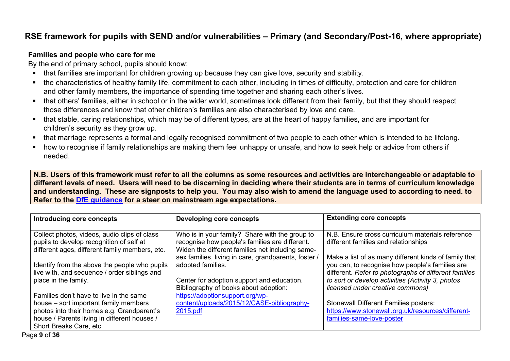# **RSE framework for pupils with SEND and/or vulnerabilities – Primary (and Secondary/Post-16, where appropriate)**

#### **Families and people who care for me**

By the end of primary school, pupils should know:

- that families are important for children growing up because they can give love, security and stability.
- the characteristics of healthy family life, commitment to each other, including in times of difficulty, protection and care for children and other family members, the importance of spending time together and sharing each other's lives.
- that others' families, either in school or in the wider world, sometimes look different from their family, but that they should respect those differences and know that other children's families are also characterised by love and care.
- that stable, caring relationships, which may be of different types, are at the heart of happy families, and are important for children's security as they grow up.
- that marriage represents a formal and legally recognised commitment of two people to each other which is intended to be lifelong.
- how to recognise if family relationships are making them feel unhappy or unsafe, and how to seek help or advice from others if needed.

**N.B. Users of this framework must refer to all the columns as some resources and activities are interchangeable or adaptable to different levels of need. Users will need to be discerning in deciding where their students are in terms of curriculum knowledge and understanding. These are signposts to help you. You may also wish to amend the language used to according to need. to Refer to the [DfE guidance](https://www.gov.uk/government/publications/relationships-education-relationships-and-sex-education-rse-and-health-education) for a steer on mainstream age expectations.**

| Introducing core concepts                                                                                                                                                                                 | Developing core concepts                                                                                                                                         | <b>Extending core concepts</b>                                                                                                                                                                                                                             |
|-----------------------------------------------------------------------------------------------------------------------------------------------------------------------------------------------------------|------------------------------------------------------------------------------------------------------------------------------------------------------------------|------------------------------------------------------------------------------------------------------------------------------------------------------------------------------------------------------------------------------------------------------------|
| Collect photos, videos, audio clips of class<br>pupils to develop recognition of self at<br>different ages, different family members, etc.                                                                | Who is in your family? Share with the group to<br>recognise how people's families are different.<br>Widen the different families net including same-             | N.B. Ensure cross curriculum materials reference<br>different families and relationships                                                                                                                                                                   |
| Identify from the above the people who pupils<br>live with, and sequence / order siblings and<br>place in the family.                                                                                     | sex families, living in care, grandparents, foster /<br>adopted families.<br>Center for adoption support and education.<br>Bibliography of books about adoption: | Make a list of as many different kinds of family that<br>you can, to recognise how people's families are<br>different. Refer to photographs of different families<br>to sort or develop activities (Activity 3, photos<br>licensed under creative commons) |
| Families don't have to live in the same<br>house – sort important family members<br>photos into their homes e.g. Grandparent's<br>house / Parents living in different houses /<br>Short Breaks Care, etc. | https://adoptionsupport.org/wp-<br>content/uploads/2015/12/CASE-bibliography-<br>2015.pdf                                                                        | <b>Stonewall Different Families posters:</b><br>https://www.stonewall.org.uk/resources/different-<br>families-same-love-poster                                                                                                                             |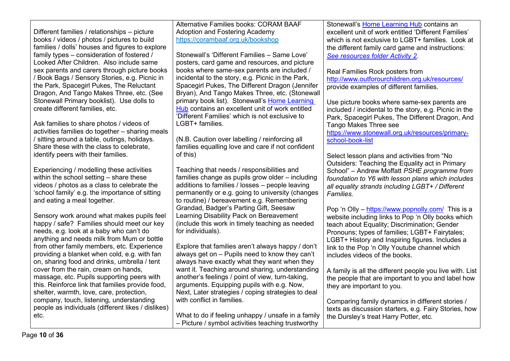Different families / relationships – picture books / videos / photos / pictures to build families / dolls' houses and figures to explore family types – consideration of fostered / Looked After Children. Also include same sex parents and carers through picture books / Book Bags / Sensory Stories, e.g. Picnic in the Park, Spacegirl Pukes, The Reluctant Dragon, And Tango Makes Three, etc. (See Stonewall Primary booklist). Use dolls to create different families, etc.

Ask families to share photos / videos of activities families do together – sharing meals / sitting around a table, outings, holidays. Share these with the class to celebrate, identify peers with their families.

Experiencing / modelling these activities within the school setting – share these videos / photos as a class to celebrate the 'school family' e.g. the importance of sitting and eating a meal together.

Sensory work around what makes pupils feel happy / safe? Families should meet our key needs, e.g. look at a baby who can't do anything and needs milk from Mum or bottle from other family members, etc. Experience providing a blanket when cold, e.g. with fan on, sharing food and drinks, umbrella / tent cover from the rain, cream on hands, massage, etc. Pupils supporting peers with this. Reinforce link that families provide food, shelter, warmth, love, care, protection, company, touch, listening, understanding people as individuals (different likes / dislikes) etc.

Alternative Families books: CORAM BAAF Adoption and Fostering Academy <https://corambaaf.org.uk/bookshop>

Stonewall's 'Different Families – Same Love' posters, card game and resources, and picture books where same-sex parents are included / incidental to the story, e.g. Picnic in the Park, Spacegirl Pukes, The Different Dragon (Jennifer Bryan), And Tango Makes Three, etc. (Stonewall primary book list). Stonewall's Home Learning [Hub](https://www.stonewall.org.uk/home-learning-packs-stonewall) contains an excellent unit of work entitled 'Different Families' which is not exclusive to LGBT+ families.

(N.B. Caution over labelling / reinforcing all families equalling love and care if not confident of this)

Teaching that needs / responsibilities and families change as pupils grow older – including additions to families / losses – people leaving permanently or e.g. going to university (changes to routine) / bereavement e.g. Remembering Grandad, Badger's Parting Gift, Seesaw Learning Disability Pack on Bereavement (include this work in timely teaching as needed for individuals).

Explore that families aren't always happy / don't always get on – Pupils need to know they can't always have exactly what they want when they want it. Teaching around sharing, understanding another's feelings / point of view, turn-taking, arguments. Equipping pupils with e.g. Now, Next, Later strategies / coping strategies to deal with conflict in families.

What to do if feeling unhappy / unsafe in a family – Picture / symbol activities teaching trustworthy

Stonewall's [Home Learning Hub](https://www.stonewall.org.uk/home-learning-packs-stonewall) contains an excellent unit of work entitled 'Different Families' which is not exclusive to LGBT+ families. Look at the different family card game and instructions: *[See resources folder Activity 2.](https://search3.openobjects.com/mediamanager/oxfordshire/fsd/files/different_families_same_love_card_game_full.pdf)* 

Real Families Rock posters from http://www.outforourchildren.org.uk/resources/ provide examples of different families.

Use picture books where same-sex parents are included / incidental to the story, e.g. Picnic in the Park, Spacegirl Pukes, The Different Dragon, And Tango Makes Three see [https://www.stonewall.org.uk/resources/primary-](https://www.stonewall.org.uk/resources/primary-school-book-list)

[school-book-list](https://www.stonewall.org.uk/resources/primary-school-book-list) 

Select lesson plans and activities from "No Outsiders: Teaching the Equality act in Primary School" – Andrew Moffatt *PSHE programme from foundation to Y6 with lesson plans which includes all equality strands including LGBT+ / Different Families.*

Pop 'n Olly – <https://www.popnolly.com/> This is a website including links to Pop 'n Olly books which teach about Equality; Discrimination; Gender Pronouns; types of families; LGBT+ Fairytales; LGBT+ History and Inspiring figures. Includes a link to the Pop 'n Olly Youtube channel which includes videos of the books.

A family is all the different people you live with. List the people that are important to you and label how they are important to you.

Comparing family dynamics in different stories / texts as discussion starters, e.g. Fairy Stories, how the Dursley's treat Harry Potter, etc.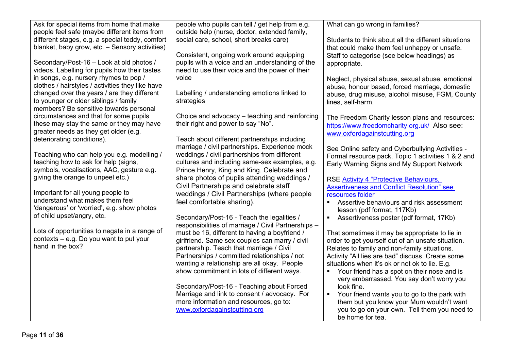| Ask for special items from home that make                                                         | people who pupils can tell / get help from e.g.                                                | What can go wrong in families?                                                              |
|---------------------------------------------------------------------------------------------------|------------------------------------------------------------------------------------------------|---------------------------------------------------------------------------------------------|
| people feel safe (maybe different items from                                                      | outside help (nurse, doctor, extended family,                                                  |                                                                                             |
| different stages, e.g. a special teddy, comfort<br>blanket, baby grow, etc. - Sensory activities) | social care, school, short breaks care)                                                        | Students to think about all the different situations                                        |
|                                                                                                   | Consistent, ongoing work around equipping                                                      | that could make them feel unhappy or unsafe.<br>Staff to categorise (see below headings) as |
| Secondary/Post-16 - Look at old photos /                                                          | pupils with a voice and an understanding of the                                                | appropriate.                                                                                |
| videos. Labelling for pupils how their tastes                                                     | need to use their voice and the power of their                                                 |                                                                                             |
| in songs, e.g. nursery rhymes to pop /                                                            | voice                                                                                          | Neglect, physical abuse, sexual abuse, emotional                                            |
| clothes / hairstyles / activities they like have                                                  |                                                                                                | abuse, honour based, forced marriage, domestic                                              |
| changed over the years / are they different                                                       | Labelling / understanding emotions linked to                                                   | abuse, drug misuse, alcohol misuse, FGM, County                                             |
| to younger or older siblings / family                                                             | strategies                                                                                     | lines, self-harm.                                                                           |
| members? Be sensitive towards personal                                                            |                                                                                                |                                                                                             |
| circumstances and that for some pupils                                                            | Choice and advocacy - teaching and reinforcing                                                 | The Freedom Charity lesson plans and resources:                                             |
| these may stay the same or they may have                                                          | their right and power to say "No".                                                             | https://www.freedomcharity.org.uk/ Also see:                                                |
| greater needs as they get older (e.g.                                                             |                                                                                                | www.oxfordagainstcutting.org                                                                |
| deteriorating conditions).                                                                        | Teach about different partnerships including                                                   |                                                                                             |
|                                                                                                   | marriage / civil partnerships. Experience mock                                                 | See Online safety and Cyberbullying Activities -                                            |
| Teaching who can help you e.g. modelling /<br>teaching how to ask for help (signs,                | weddings / civil partnerships from different<br>cultures and including same-sex examples, e.g. | Formal resource pack. Topic 1 activities 1 & 2 and                                          |
| symbols, vocalisations, AAC, gesture e.g.                                                         | Prince Henry, King and King. Celebrate and                                                     | Early Warning Signs and My Support Network                                                  |
| giving the orange to unpeel etc.)                                                                 | share photos of pupils attending weddings /                                                    |                                                                                             |
|                                                                                                   | Civil Partnerships and celebrate staff                                                         | RSE Activity 4 "Protective Behaviours,<br><b>Assertiveness and Conflict Resolution" see</b> |
| Important for all young people to                                                                 | weddings / Civil Partnerships (where people                                                    | resources folder                                                                            |
| understand what makes them feel                                                                   | feel comfortable sharing).                                                                     | Assertive behaviours and risk assessment                                                    |
| 'dangerous' or 'worried', e.g. show photos                                                        |                                                                                                | lesson (pdf format, 117Kb)                                                                  |
| of child upset/angry, etc.                                                                        | Secondary/Post-16 - Teach the legalities /                                                     | Assertiveness poster (pdf format, 17Kb)<br>$\blacksquare$                                   |
|                                                                                                   | responsibilities of marriage / Civil Partnerships -                                            |                                                                                             |
| Lots of opportunities to negate in a range of                                                     | must be 16, different to having a boyfriend /                                                  | That sometimes it may be appropriate to lie in                                              |
| contexts - e.g. Do you want to put your<br>hand in the box?                                       | girlfriend. Same sex couples can marry / civil                                                 | order to get yourself out of an unsafe situation.                                           |
|                                                                                                   | partnership. Teach that marriage / Civil                                                       | Relates to family and non-family situations.                                                |
|                                                                                                   | Partnerships / committed relationships / not                                                   | Activity "All lies are bad" discuss. Create some                                            |
|                                                                                                   | wanting a relationship are all okay. People                                                    | situations when it's ok or not ok to lie. E.g.                                              |
|                                                                                                   | show commitment in lots of different ways.                                                     | Your friend has a spot on their nose and is<br>very embarrassed. You say don't worry you    |
|                                                                                                   | Secondary/Post-16 - Teaching about Forced                                                      | look fine.                                                                                  |
|                                                                                                   | Marriage and link to consent / advocacy. For                                                   | Your friend wants you to go to the park with<br>$\blacksquare$                              |
|                                                                                                   | more information and resources, go to:                                                         | them but you know your Mum wouldn't want                                                    |
|                                                                                                   | www.oxfordagainstcutting.org                                                                   | you to go on your own. Tell them you need to                                                |
|                                                                                                   |                                                                                                | be home for tea.                                                                            |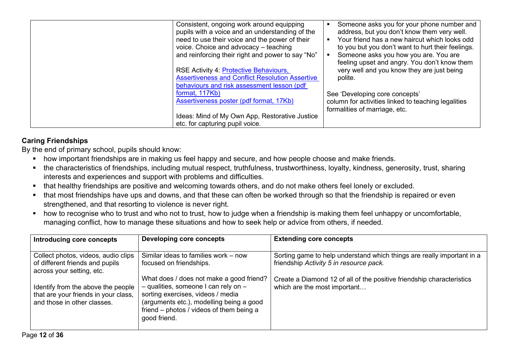| Consistent, ongoing work around equipping<br>pupils with a voice and an understanding of the<br>need to use their voice and the power of their<br>voice. Choice and advocacy - teaching<br>and reinforcing their right and power to say "No"<br>RSE Activity 4: Protective Behaviours,<br><b>Assertiveness and Conflict Resolution Assertive</b><br>behaviours and risk assessment lesson (pdf | Someone asks you for your phone number and<br>address, but you don't know them very well.<br>Your friend has a new haircut which looks odd<br>to you but you don't want to hurt their feelings.<br>Someone asks you how you are. You are<br>feeling upset and angry. You don't know them<br>very well and you know they are just being<br>polite. |
|------------------------------------------------------------------------------------------------------------------------------------------------------------------------------------------------------------------------------------------------------------------------------------------------------------------------------------------------------------------------------------------------|---------------------------------------------------------------------------------------------------------------------------------------------------------------------------------------------------------------------------------------------------------------------------------------------------------------------------------------------------|
| format, 117Kb)<br>Assertiveness poster (pdf format, 17Kb)<br>Ideas: Mind of My Own App, Restorative Justice                                                                                                                                                                                                                                                                                    | See 'Developing core concepts'<br>column for activities linked to teaching legalities<br>formalities of marriage, etc.                                                                                                                                                                                                                            |
| etc. for capturing pupil voice.                                                                                                                                                                                                                                                                                                                                                                |                                                                                                                                                                                                                                                                                                                                                   |

## **Caring Friendships**

- how important friendships are in making us feel happy and secure, and how people choose and make friends.
- the characteristics of friendships, including mutual respect, truthfulness, trustworthiness, loyalty, kindness, generosity, trust, sharing interests and experiences and support with problems and difficulties.
- that healthy friendships are positive and welcoming towards others, and do not make others feel lonely or excluded.
- that most friendships have ups and downs, and that these can often be worked through so that the friendship is repaired or even strengthened, and that resorting to violence is never right.
- how to recognise who to trust and who not to trust, how to judge when a friendship is making them feel unhappy or uncomfortable, managing conflict, how to manage these situations and how to seek help or advice from others, if needed.

| Introducing core concepts                                                                                 | Developing core concepts                                                                                                                                                                                                          | <b>Extending core concepts</b>                                                                                    |
|-----------------------------------------------------------------------------------------------------------|-----------------------------------------------------------------------------------------------------------------------------------------------------------------------------------------------------------------------------------|-------------------------------------------------------------------------------------------------------------------|
| Collect photos, videos, audio clips<br>of different friends and pupils<br>across your setting, etc.       | Similar ideas to families work – now<br>focused on friendships.                                                                                                                                                                   | Sorting game to help understand which things are really important in a<br>friendship Activity 5 in resource pack. |
| Identify from the above the people<br>that are your friends in your class,<br>and those in other classes. | What does / does not make a good friend?<br>$-$ qualities, someone I can rely on $-$<br>sorting exercises, videos / media<br>(arguments etc.), modelling being a good<br>friend – photos / videos of them being a<br>good friend. | Create a Diamond 12 of all of the positive friendship characteristics<br>which are the most important             |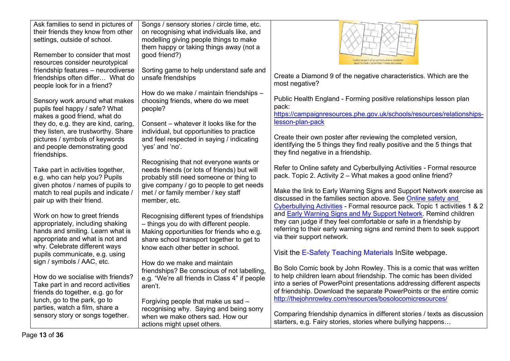| Ask families to send in pictures of<br>their friends they know from other   | Songs / sensory stories / circle time, etc.<br>on recognising what individuals like, and |                                                                                     |
|-----------------------------------------------------------------------------|------------------------------------------------------------------------------------------|-------------------------------------------------------------------------------------|
| settings, outside of school.                                                | modelling giving people things to make                                                   |                                                                                     |
|                                                                             | them happy or taking things away (not a                                                  |                                                                                     |
| Remember to consider that most                                              | good friend?)                                                                            |                                                                                     |
| resources consider neurotypical                                             |                                                                                          | seful as part of an activity where students                                         |
| friendship features - neurodiverse                                          | Sorting game to help understand safe and                                                 |                                                                                     |
| friendships often differ What do                                            | unsafe friendships                                                                       | Create a Diamond 9 of the negative characteristics. Which are the<br>most negative? |
| people look for in a friend?                                                |                                                                                          |                                                                                     |
|                                                                             | How do we make / maintain friendships -                                                  | Public Health England - Forming positive relationships lesson plan                  |
| Sensory work around what makes                                              | choosing friends, where do we meet                                                       | pack:                                                                               |
| pupils feel happy / safe? What                                              | people?                                                                                  | https://campaignresources.phe.gov.uk/schools/resources/relationships-               |
| makes a good friend, what do                                                |                                                                                          | lesson-plan-pack                                                                    |
| they do, e.g. they are kind, caring,<br>they listen, are trustworthy. Share | Consent – whatever it looks like for the<br>individual, but opportunities to practice    |                                                                                     |
| pictures / symbols of keywords                                              | and feel respected in saying / indicating                                                | Create their own poster after reviewing the completed version,                      |
| and people demonstrating good                                               | 'yes' and 'no'.                                                                          | identifying the 5 things they find really positive and the 5 things that            |
| friendships.                                                                |                                                                                          | they find negative in a friendship.                                                 |
|                                                                             | Recognising that not everyone wants or                                                   |                                                                                     |
| Take part in activities together,                                           | needs friends (or lots of friends) but will                                              | Refer to Online safety and Cyberbullying Activities - Formal resource               |
| e.g. who can help you? Pupils                                               | probably still need someone or thing to                                                  | pack. Topic 2. Activity 2 – What makes a good online friend?                        |
| given photos / names of pupils to                                           | give company / go to people to get needs                                                 |                                                                                     |
| match to real pupils and indicate /                                         | met / or family member / key staff                                                       | Make the link to Early Warning Signs and Support Network exercise as                |
| pair up with their friend.                                                  | member, etc.                                                                             | discussed in the families section above. See Online safety and                      |
|                                                                             |                                                                                          | Cyberbullying Activities - Formal resource pack. Topic 1 activities 1 & 2           |
| Work on how to greet friends                                                | Recognising different types of friendships                                               | and <b>Early Warning Signs and My Support Network</b> . Remind children             |
| appropriately, including shaking                                            | - things you do with different people.                                                   | they can judge if they feel comfortable or safe in a friendship by                  |
| hands and smiling. Learn what is                                            | Making opportunities for friends who e.g.                                                | referring to their early warning signs and remind them to seek support              |
| appropriate and what is not and                                             | share school transport together to get to                                                | via their support network.                                                          |
| why. Celebrate different ways                                               | know each other better in school.                                                        |                                                                                     |
| pupils communicate, e.g. using                                              |                                                                                          | Visit the E-Safety Teaching Materials InSite webpage.                               |
| sign / symbols / AAC, etc.                                                  | How do we make and maintain                                                              | Bo Solo Comic book by John Rowley. This is a comic that was written                 |
|                                                                             | friendships? Be conscious of not labelling,                                              | to help children learn about friendship. The comic has been divided                 |
| How do we socialise with friends?<br>Take part in and record activities     | e.g. "We're all friends in Class 4" if people                                            | into a series of PowerPoint presentations addressing different aspects              |
| friends do together, e.g. go for                                            | aren't.                                                                                  | of friendship. Download the separate PowerPoints or the entire comic                |
| lunch, go to the park, go to                                                |                                                                                          | http://thejohnrowley.com/resources/bosolocomicresources/                            |
| parties, watch a film, share a                                              | Forgiving people that make us sad -<br>recognising why. Saying and being sorry           |                                                                                     |
| sensory story or songs together.                                            | when we make others sad. How our                                                         | Comparing friendship dynamics in different stories / texts as discussion            |
|                                                                             | actions might upset others.                                                              | starters, e.g. Fairy stories, stories where bullying happens                        |
|                                                                             |                                                                                          |                                                                                     |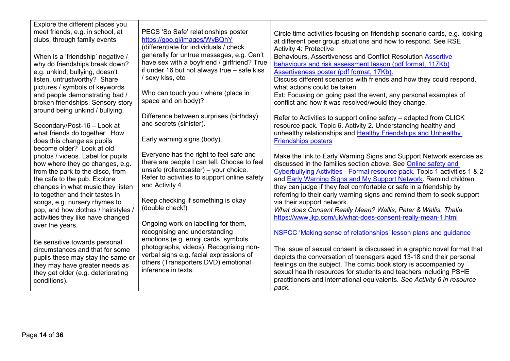| Explore the different places you<br>meet friends, e.g. in school, at<br>clubs, through family events<br>When is a 'friendship' negative /<br>why do friendships break down?<br>e.g. unkind, bullying, doesn't<br>listen, untrustworthy? Share                                                                                                              | PECS 'So Safe' relationships poster<br>https://goo.gl/images/WyBQhY<br>(differentiate for individuals / check)<br>generally for untrue messages, e.g. Can't<br>have sex with a boyfriend / girlfriend? True<br>if under 16 but not always true - safe kiss<br>/ sexy kiss, etc.                    | Circle time activities focusing on friendship scenario cards, e.g. looking<br>at different peer group situations and how to respond. See RSE<br><b>Activity 4: Protective</b><br>Behaviours, Assertiveness and Conflict Resolution Assertive<br>behaviours and risk assessment lesson (pdf format, 117Kb)<br>Assertiveness poster (pdf format, 17Kb).<br>Discuss different scenarios with friends and how they could respond,                                                                                                                                                                                 |
|------------------------------------------------------------------------------------------------------------------------------------------------------------------------------------------------------------------------------------------------------------------------------------------------------------------------------------------------------------|----------------------------------------------------------------------------------------------------------------------------------------------------------------------------------------------------------------------------------------------------------------------------------------------------|---------------------------------------------------------------------------------------------------------------------------------------------------------------------------------------------------------------------------------------------------------------------------------------------------------------------------------------------------------------------------------------------------------------------------------------------------------------------------------------------------------------------------------------------------------------------------------------------------------------|
| pictures / symbols of keywords<br>and people demonstrating bad /<br>broken friendships. Sensory story<br>around being unkind / bullying.                                                                                                                                                                                                                   | Who can touch you / where (place in<br>space and on body)?                                                                                                                                                                                                                                         | what actions could be taken.<br>Ext: Focusing on going past the event, any personal examples of<br>conflict and how it was resolved/would they change.                                                                                                                                                                                                                                                                                                                                                                                                                                                        |
| Secondary/Post-16 - Look at<br>what friends do together. How<br>does this change as pupils                                                                                                                                                                                                                                                                 | Difference between surprises (birthday)<br>and secrets (sinister).<br>Early warning signs (body).                                                                                                                                                                                                  | Refer to Activities to support online safety - adapted from CLICK<br>resource pack. Topic 6. Activity 2. Understanding healthy and<br>unhealthy relationships and Healthy Friendships and Unhealthy<br><b>Friendships posters</b>                                                                                                                                                                                                                                                                                                                                                                             |
| become older? Look at old<br>photos / videos. Label for pupils<br>how where they go changes, e.g.<br>from the park to the disco, from<br>the cafe to the pub. Explore<br>changes in what music they listen<br>to together and their tastes in<br>songs, e.g. nursery rhymes to<br>pop, and how clothes / hairstyles /<br>activities they like have changed | Everyone has the right to feel safe and<br>there are people I can tell. Choose to feel<br>unsafe (rollercoaster) - your choice.<br>Refer to activities to support online safety<br>and Activity 4.<br>Keep checking if something is okay<br>(double check!)<br>Ongoing work on labelling for them, | Make the link to Early Warning Signs and Support Network exercise as<br>discussed in the families section above. See Online safety and<br>Cyberbullying Activities - Formal resource pack. Topic 1 activities 1 & 2<br>and <b>Early Warning Signs and My Support Network</b> . Remind children<br>they can judge if they feel comfortable or safe in a friendship by<br>referring to their early warning signs and remind them to seek support<br>via their support network.<br>What does Consent Really Mean? Wallis, Peter & Wallis, Thalia.<br>https://www.jkp.com/uk/what-does-consent-really-mean-1.html |
| over the years.<br>Be sensitive towards personal<br>circumstances and that for some<br>pupils these may stay the same or<br>they may have greater needs as<br>they get older (e.g. deteriorating<br>conditions).                                                                                                                                           | recognising and understanding<br>emotions (e.g. emoji cards, symbols,<br>photographs, videos). Recognising non-<br>verbal signs e.g. facial expressions of<br>others (Transporters DVD) emotional<br>inference in texts.                                                                           | NSPCC 'Making sense of relationships' lesson plans and guidance<br>The issue of sexual consent is discussed in a graphic novel format that<br>depicts the conversation of teenagers aged 13-18 and their personal<br>feelings on the subject. The comic book story is accompanied by<br>sexual health resources for students and teachers including PSHE<br>practitioners and international equivalents. See Activity 6 in resource<br>pack.                                                                                                                                                                  |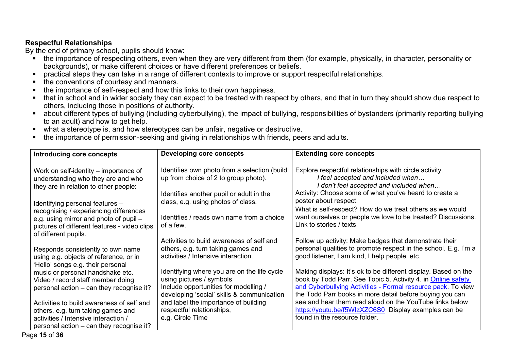## **Respectful Relationships**

- the importance of respecting others, even when they are very different from them (for example, physically, in character, personality or backgrounds), or make different choices or have different preferences or beliefs.
- practical steps they can take in a range of different contexts to improve or support respectful relationships.
- the conventions of courtesy and manners.
- the importance of self-respect and how this links to their own happiness.
- that in school and in wider society they can expect to be treated with respect by others, and that in turn they should show due respect to others, including those in positions of authority.
- about different types of bullying (including cyberbullying), the impact of bullying, responsibilities of bystanders (primarily reporting bullying to an adult) and how to get help.
- what a stereotype is, and how stereotypes can be unfair, negative or destructive.
- the importance of permission-seeking and giving in relationships with friends, peers and adults.

| Introducing core concepts                                                                                                                                           | Developing core concepts                                                                                                                                       | <b>Extending core concepts</b>                                                                                                                                                                                                                             |
|---------------------------------------------------------------------------------------------------------------------------------------------------------------------|----------------------------------------------------------------------------------------------------------------------------------------------------------------|------------------------------------------------------------------------------------------------------------------------------------------------------------------------------------------------------------------------------------------------------------|
| Work on self-identity – importance of<br>understanding who they are and who<br>they are in relation to other people:                                                | Identifies own photo from a selection (build<br>up from choice of 2 to group photo).                                                                           | Explore respectful relationships with circle activity.<br>I feel accepted and included when<br>I don't feel accepted and included when                                                                                                                     |
| Identifying personal features -<br>recognising / experiencing differences                                                                                           | Identifies another pupil or adult in the<br>class, e.g. using photos of class.                                                                                 | Activity: Choose some of what you've heard to create a<br>poster about respect.<br>What is self-respect? How do we treat others as we would                                                                                                                |
| e.g. using mirror and photo of pupil -<br>pictures of different features - video clips<br>of different pupils.                                                      | Identifies / reads own name from a choice<br>of a few.                                                                                                         | want ourselves or people we love to be treated? Discussions.<br>Link to stories / texts.                                                                                                                                                                   |
| Responds consistently to own name<br>using e.g. objects of reference, or in                                                                                         | Activities to build awareness of self and<br>others, e.g. turn taking games and<br>activities / Intensive interaction.                                         | Follow up activity: Make badges that demonstrate their<br>personal qualities to promote respect in the school. E.g. I'm a<br>good listener, I am kind, I help people, etc.                                                                                 |
| 'Hello' songs e.g. their personal<br>music or personal handshake etc.<br>Video / record staff member doing<br>personal action – can they recognise it?              | Identifying where you are on the life cycle<br>using pictures / symbols<br>Include opportunities for modelling /<br>developing 'social' skills & communication | Making displays: It's ok to be different display. Based on the<br>book by Todd Parr. See Topic 5. Activity 4. in Online safety<br>and Cyberbullying Activities - Formal resource pack. To view<br>the Todd Parr books in more detail before buying you can |
| Activities to build awareness of self and<br>others, e.g. turn taking games and<br>activities / Intensive interaction /<br>personal action – can they recognise it? | and label the importance of building<br>respectful relationships,<br>e.g. Circle Time                                                                          | see and hear them read aloud on the YouTube links below<br>https://youtu.be/f5WIzXZC6S0 Display examples can be<br>found in the resource folder.                                                                                                           |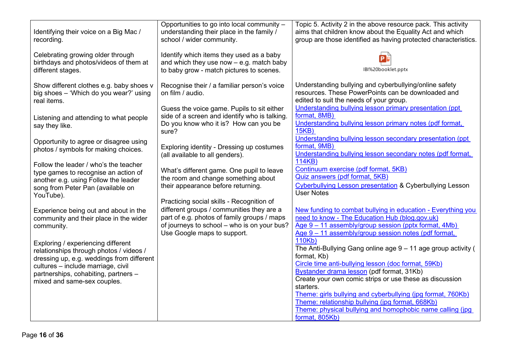| Identifying their voice on a Big Mac /<br>recording.                                                                                                                    | Opportunities to go into local community -<br>understanding their place in the family /<br>school / wider community.                                                                                                | Topic 5. Activity 2 in the above resource pack. This activity<br>aims that children know about the Equality Act and which<br>group are those identified as having protected characteristics.                                                                                                      |
|-------------------------------------------------------------------------------------------------------------------------------------------------------------------------|---------------------------------------------------------------------------------------------------------------------------------------------------------------------------------------------------------------------|---------------------------------------------------------------------------------------------------------------------------------------------------------------------------------------------------------------------------------------------------------------------------------------------------|
| Celebrating growing older through<br>birthdays and photos/videos of them at<br>different stages.                                                                        | Identify which items they used as a baby<br>and which they use now $-$ e.g. match baby<br>to baby grow - match pictures to scenes.                                                                                  | P<br>IBI%20booklet.pptx                                                                                                                                                                                                                                                                           |
| Show different clothes e.g. baby shoes v<br>big shoes - 'Which do you wear?' using<br>real items.                                                                       | Recognise their / a familiar person's voice<br>on film / audio.                                                                                                                                                     | Understanding bullying and cyberbullying/online safety<br>resources. These PowerPoints can be downloaded and<br>edited to suit the needs of your group.<br>Understanding bullying lesson primary presentation (ppt                                                                                |
| Listening and attending to what people<br>say they like.                                                                                                                | Guess the voice game. Pupils to sit either<br>side of a screen and identify who is talking.<br>Do you know who it is? How can you be<br>sure?                                                                       | format, 8MB)<br>Understanding bullying lesson primary notes (pdf format,<br><b>15KB)</b>                                                                                                                                                                                                          |
| Opportunity to agree or disagree using<br>photos / symbols for making choices.                                                                                          | Exploring identity - Dressing up costumes<br>(all available to all genders).                                                                                                                                        | Understanding bullying lesson secondary presentation (ppt<br>format, 9MB)<br>Understanding bullying lesson secondary notes (pdf format,                                                                                                                                                           |
| Follow the leader / who's the teacher<br>type games to recognise an action of<br>another e.g. using Follow the leader<br>song from Peter Pan (available on<br>YouTube). | What's different game. One pupil to leave<br>the room and change something about<br>their appearance before returning.                                                                                              | 114KB)<br>Continuum exercise (pdf format, 5KB)<br>Quiz answers (pdf format, 5KB)<br><b>Cyberbullying Lesson presentation &amp; Cyberbullying Lesson</b><br><b>User Notes</b>                                                                                                                      |
| Experience being out and about in the<br>community and their place in the wider<br>community.                                                                           | Practicing social skills - Recognition of<br>different groups / communities they are a<br>part of e.g. photos of family groups / maps<br>of journeys to school - who is on your bus?<br>Use Google maps to support. | New funding to combat bullying in education - Everything you<br>need to know - The Education Hub (blog.gov.uk)<br>Age 9 – 11 assembly/group session (pptx format, 4Mb)<br>Age 9 - 11 assembly/group session notes (pdf format,                                                                    |
| Exploring / experiencing different<br>relationships through photos / videos /<br>dressing up, e.g. weddings from different<br>cultures - include marriage, civil        |                                                                                                                                                                                                                     | 110Kb)<br>The Anti-Bullying Gang online age $9 - 11$ age group activity (<br>format, Kb)<br>Circle time anti-bullying lesson (doc format, 59Kb)                                                                                                                                                   |
| partnerships, cohabiting, partners -<br>mixed and same-sex couples.                                                                                                     |                                                                                                                                                                                                                     | Bystander drama lesson (pdf format, 31Kb)<br>Create your own comic strips or use these as discussion<br>starters.<br>Theme: girls bullying and cyberbullying (jpg format, 760Kb)<br>Theme: relationship bullying (jpg format, 668Kb)<br>Theme: physical bullying and homophobic name calling (ipg |
|                                                                                                                                                                         |                                                                                                                                                                                                                     | format, 805Kb)                                                                                                                                                                                                                                                                                    |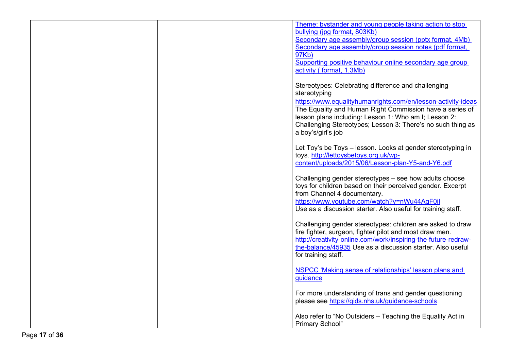| Theme: bystander and young people taking action to stop<br>bullying (jpg format, 803Kb)<br>Secondary age assembly/group session (pptx format, 4Mb)<br>Secondary age assembly/group session notes (pdf format,<br>97Kb)<br>Supporting positive behaviour online secondary age group |
|------------------------------------------------------------------------------------------------------------------------------------------------------------------------------------------------------------------------------------------------------------------------------------|
| activity (format, 1.3Mb)<br>Stereotypes: Celebrating difference and challenging<br>stereotyping<br>https://www.equalityhumanrights.com/en/lesson-activity-ideas                                                                                                                    |
| The Equality and Human Right Commission have a series of<br>lesson plans including: Lesson 1: Who am I; Lesson 2:<br>Challenging Stereotypes; Lesson 3: There's no such thing as<br>a boy's/girl's job<br>Let Toy's be Toys - lesson. Looks at gender stereotyping in              |
| toys. http://lettoysbetoys.org.uk/wp-<br>content/uploads/2015/06/Lesson-plan-Y5-and-Y6.pdf<br>Challenging gender stereotypes - see how adults choose<br>toys for children based on their perceived gender. Excerpt<br>from Channel 4 documentary.                                  |
| https://www.youtube.com/watch?v=nWu44AqF0il<br>Use as a discussion starter. Also useful for training staff.<br>Challenging gender stereotypes: children are asked to draw<br>fire fighter, surgeon, fighter pilot and most draw men.                                               |
| http://creativity-online.com/work/inspiring-the-future-redraw-<br>the-balance/45935 Use as a discussion starter. Also useful<br>for training staff.<br>NSPCC 'Making sense of relationships' lesson plans and<br>guidance                                                          |
| For more understanding of trans and gender questioning<br>please see https://gids.nhs.uk/guidance-schools<br>Also refer to "No Outsiders - Teaching the Equality Act in<br><b>Primary School"</b>                                                                                  |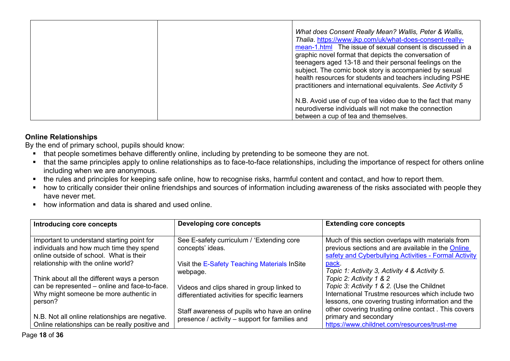| What does Consent Really Mean? Wallis, Peter & Wallis,<br>Thalia. https://www.jkp.com/uk/what-does-consent-really-<br>mean-1.html The issue of sexual consent is discussed in a<br>graphic novel format that depicts the conversation of<br>teenagers aged 13-18 and their personal feelings on the<br>subject. The comic book story is accompanied by sexual<br>health resources for students and teachers including PSHE<br>practitioners and international equivalents. See Activity 5 |
|-------------------------------------------------------------------------------------------------------------------------------------------------------------------------------------------------------------------------------------------------------------------------------------------------------------------------------------------------------------------------------------------------------------------------------------------------------------------------------------------|
| N.B. Avoid use of cup of tea video due to the fact that many<br>neurodiverse individuals will not make the connection<br>between a cup of tea and themselves.                                                                                                                                                                                                                                                                                                                             |

### **Online Relationships**

- that people sometimes behave differently online, including by pretending to be someone they are not.
- that the same principles apply to online relationships as to face-to-face relationships, including the importance of respect for others online including when we are anonymous.
- the rules and principles for keeping safe online, how to recognise risks, harmful content and contact, and how to report them.
- how to critically consider their online friendships and sources of information including awareness of the risks associated with people they have never met.
- how information and data is shared and used online

| Introducing core concepts                                                                                                                         | Developing core concepts                                                                       | <b>Extending core concepts</b>                                                                                                                                                   |
|---------------------------------------------------------------------------------------------------------------------------------------------------|------------------------------------------------------------------------------------------------|----------------------------------------------------------------------------------------------------------------------------------------------------------------------------------|
| Important to understand starting point for<br>individuals and how much time they spend<br>online outside of school. What is their                 | See E-safety curriculum / 'Extending core<br>concepts' ideas.                                  | Much of this section overlaps with materials from<br>previous sections and are available in the Online<br>safety and Cyberbullying Activities - Formal Activity                  |
| relationship with the online world?                                                                                                               | Visit the E-Safety Teaching Materials InSite<br>webpage.                                       | pack.<br>Topic 1: Activity 3, Activity 4 & Activity 5.                                                                                                                           |
| Think about all the different ways a person<br>can be represented - online and face-to-face.<br>Why might someone be more authentic in<br>person? | Videos and clips shared in group linked to<br>differentiated activities for specific learners  | Topic 2: Activity 1 & 2<br>Topic 3: Activity 1 & 2. (Use the Childnet<br>International Trustme resources which include two<br>lessons, one covering trusting information and the |
| N.B. Not all online relationships are negative.<br>Online relationships can be really positive and                                                | Staff awareness of pupils who have an online<br>presence / activity – support for families and | other covering trusting online contact. This covers<br>primary and secondary<br>https://www.childnet.com/resources/trust-me                                                      |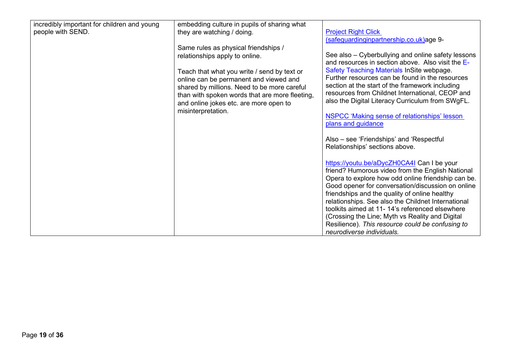| incredibly important for children and young | embedding culture in pupils of sharing what    |                                                                                                         |
|---------------------------------------------|------------------------------------------------|---------------------------------------------------------------------------------------------------------|
| people with SEND.                           | they are watching / doing.                     | <b>Project Right Click</b>                                                                              |
|                                             |                                                | (safeguardinginpartnership.co.uk)age 9-                                                                 |
|                                             | Same rules as physical friendships /           |                                                                                                         |
|                                             | relationships apply to online.                 | See also - Cyberbullying and online safety lessons<br>and resources in section above. Also visit the E- |
|                                             | Teach that what you write / send by text or    | Safety Teaching Materials InSite webpage.                                                               |
|                                             | online can be permanent and viewed and         | Further resources can be found in the resources                                                         |
|                                             | shared by millions. Need to be more careful    | section at the start of the framework including                                                         |
|                                             | than with spoken words that are more fleeting, | resources from Childnet International, CEOP and                                                         |
|                                             | and online jokes etc. are more open to         | also the Digital Literacy Curriculum from SWgFL.                                                        |
|                                             | misinterpretation.                             |                                                                                                         |
|                                             |                                                | NSPCC 'Making sense of relationships' lesson                                                            |
|                                             |                                                | plans and guidance                                                                                      |
|                                             |                                                |                                                                                                         |
|                                             |                                                | Also – see 'Friendships' and 'Respectful                                                                |
|                                             |                                                | Relationships' sections above.                                                                          |
|                                             |                                                |                                                                                                         |
|                                             |                                                | https://youtu.be/aDycZH0CA4I Can I be your                                                              |
|                                             |                                                | friend? Humorous video from the English National                                                        |
|                                             |                                                | Opera to explore how odd online friendship can be.                                                      |
|                                             |                                                | Good opener for conversation/discussion on online                                                       |
|                                             |                                                | friendships and the quality of online healthy                                                           |
|                                             |                                                | relationships. See also the Childnet International                                                      |
|                                             |                                                | toolkits aimed at 11-14's referenced elsewhere                                                          |
|                                             |                                                | (Crossing the Line; Myth vs Reality and Digital)                                                        |
|                                             |                                                | Resilience). This resource could be confusing to                                                        |
|                                             |                                                | neurodiverse individuals.                                                                               |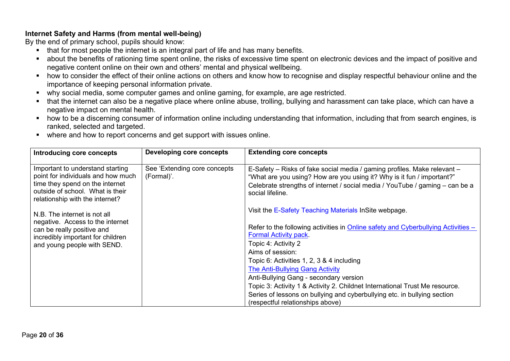### **Internet Safety and Harms (from mental well-being)**

- that for most people the internet is an integral part of life and has many benefits.
- about the benefits of rationing time spent online, the risks of excessive time spent on electronic devices and the impact of positive and negative content online on their own and others' mental and physical wellbeing.
- how to consider the effect of their online actions on others and know how to recognise and display respectful behaviour online and the importance of keeping personal information private.
- why social media, some computer games and online gaming, for example, are age restricted.
- that the internet can also be a negative place where online abuse, trolling, bullying and harassment can take place, which can have a negative impact on mental health.
- how to be a discerning consumer of information online including understanding that information, including that from search engines, is ranked, selected and targeted.
- where and how to report concerns and get support with issues online.

| Introducing core concepts                                                                                                                                                        | Developing core concepts                   | <b>Extending core concepts</b>                                                                                                                                                                                                                                                                                                                         |
|----------------------------------------------------------------------------------------------------------------------------------------------------------------------------------|--------------------------------------------|--------------------------------------------------------------------------------------------------------------------------------------------------------------------------------------------------------------------------------------------------------------------------------------------------------------------------------------------------------|
| Important to understand starting<br>point for individuals and how much<br>time they spend on the internet<br>outside of school. What is their<br>relationship with the internet? | See 'Extending core concepts<br>(Formal)'. | E-Safety – Risks of fake social media / gaming profiles. Make relevant –<br>"What are you using? How are you using it? Why is it fun / important?"<br>Celebrate strengths of internet / social media / YouTube / gaming – can be a<br>social lifeline.                                                                                                 |
| N.B. The internet is not all<br>negative. Access to the internet<br>can be really positive and<br>incredibly important for children<br>and young people with SEND.               |                                            | Visit the E-Safety Teaching Materials InSite webpage.<br>Refer to the following activities in Online safety and Cyberbullying Activities -<br><b>Formal Activity pack.</b><br>Topic 4: Activity 2<br>Aims of session:<br>Topic 6: Activities 1, 2, 3 & 4 including<br><b>The Anti-Bullying Gang Activity</b><br>Anti-Bullying Gang - secondary version |
|                                                                                                                                                                                  |                                            | Topic 3: Activity 1 & Activity 2. Childnet International Trust Me resource.<br>Series of lessons on bullying and cyberbullying etc. in bullying section<br>(respectful relationships above)                                                                                                                                                            |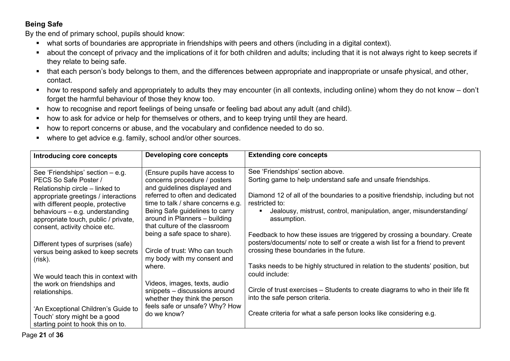## **Being Safe**

- what sorts of boundaries are appropriate in friendships with peers and others (including in a digital context).
- about the concept of privacy and the implications of it for both children and adults; including that it is not always right to keep secrets if they relate to being safe.
- that each person's body belongs to them, and the differences between appropriate and inappropriate or unsafe physical, and other, contact.
- how to respond safely and appropriately to adults they may encounter (in all contexts, including online) whom they do not know don't forget the harmful behaviour of those they know too.
- how to recognise and report feelings of being unsafe or feeling bad about any adult (and child).
- how to ask for advice or help for themselves or others, and to keep trying until they are heard.
- how to report concerns or abuse, and the vocabulary and confidence needed to do so.
- where to get advice e.g. family, school and/or other sources.

| Introducing core concepts                                                                                  | Developing core concepts                                                                         | <b>Extending core concepts</b>                                                                    |
|------------------------------------------------------------------------------------------------------------|--------------------------------------------------------------------------------------------------|---------------------------------------------------------------------------------------------------|
| See 'Friendships' section $-$ e.g.                                                                         | (Ensure pupils have access to                                                                    | See 'Friendships' section above.                                                                  |
| PECS So Safe Poster /                                                                                      | concerns procedure / posters                                                                     | Sorting game to help understand safe and unsafe friendships.                                      |
| Relationship circle – linked to                                                                            | and guidelines displayed and<br>referred to often and dedicated                                  |                                                                                                   |
| appropriate greetings / interactions<br>with different people, protective                                  | time to talk / share concerns e.g.                                                               | Diamond 12 of all of the boundaries to a positive friendship, including but not<br>restricted to: |
| behaviours $-$ e.g. understanding<br>appropriate touch, public / private,<br>consent, activity choice etc. | Being Safe guidelines to carry<br>around in Planners - building<br>that culture of the classroom | Jealousy, mistrust, control, manipulation, anger, misunderstanding/<br>assumption.                |
|                                                                                                            | being a safe space to share).                                                                    | Feedback to how these issues are triggered by crossing a boundary. Create                         |
| Different types of surprises (safe)                                                                        |                                                                                                  | posters/documents/ note to self or create a wish list for a friend to prevent                     |
| versus being asked to keep secrets<br>(risk).                                                              | Circle of trust: Who can touch<br>my body with my consent and                                    | crossing these boundaries in the future.                                                          |
|                                                                                                            | where.                                                                                           | Tasks needs to be highly structured in relation to the students' position, but                    |
| We would teach this in context with                                                                        |                                                                                                  | could include:                                                                                    |
| the work on friendships and                                                                                | Videos, images, texts, audio                                                                     | Circle of trust exercises – Students to create diagrams to who in their life fit                  |
| relationships.                                                                                             | snippets - discussions around<br>whether they think the person                                   | into the safe person criteria.                                                                    |
| 'An Exceptional Children's Guide to                                                                        | feels safe or unsafe? Why? How                                                                   |                                                                                                   |
| Touch' story might be a good                                                                               | do we know?                                                                                      | Create criteria for what a safe person looks like considering e.g.                                |
| starting point to hook this on to.                                                                         |                                                                                                  |                                                                                                   |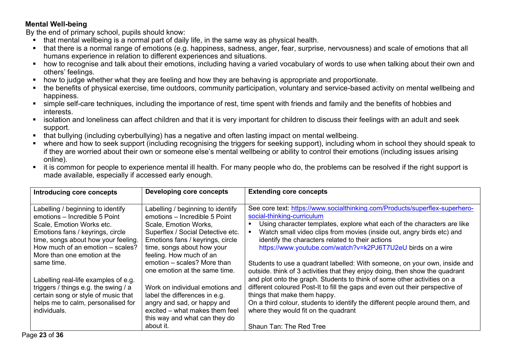## **Mental Well-being**

- that mental wellbeing is a normal part of daily life, in the same way as physical health.
- that there is a normal range of emotions (e.g. happiness, sadness, anger, fear, surprise, nervousness) and scale of emotions that all humans experience in relation to different experiences and situations.
- how to recognise and talk about their emotions, including having a varied vocabulary of words to use when talking about their own and others' feelings.
- how to judge whether what they are feeling and how they are behaving is appropriate and proportionate.
- the benefits of physical exercise, time outdoors, community participation, voluntary and service-based activity on mental wellbeing and happiness.
- simple self-care techniques, including the importance of rest, time spent with friends and family and the benefits of hobbies and interests.
- isolation and loneliness can affect children and that it is very important for children to discuss their feelings with an adult and seek support.
- that bullying (including cyberbullying) has a negative and often lasting impact on mental wellbeing.
- where and how to seek support (including recognising the triggers for seeking support), including whom in school they should speak to if they are worried about their own or someone else's mental wellbeing or ability to control their emotions (including issues arising online).

| • it is common for people to experience mental ill health. For many people who do, the problems can be resolved if the right support is |
|-----------------------------------------------------------------------------------------------------------------------------------------|
| made available, especially if accessed early enough.                                                                                    |

| Introducing core concepts            | <b>Developing core concepts</b>            | <b>Extending core concepts</b>                                                |
|--------------------------------------|--------------------------------------------|-------------------------------------------------------------------------------|
| Labelling / beginning to identify    | Labelling / beginning to identify          | See core text: https://www.socialthinking.com/Products/superflex-superhero-   |
| emotions - Incredible 5 Point        | emotions – Incredible 5 Point              | social-thinking-curriculum                                                    |
| Scale, Emotion Works etc.            | Scale, Emotion Works,                      | Using character templates, explore what each of the characters are like       |
| Emotions fans / keyrings, circle     | Superflex / Social Detective etc.          | Watch small video clips from movies (inside out, angry birds etc) and         |
| time, songs about how your feeling.  | Emotions fans / keyrings, circle           | identify the characters related to their actions                              |
| How much of an emotion - scales?     | time, songs about how your                 | https://www.youtube.com/watch?v=k2PJ6T7U2eU birds on a wire                   |
| More than one emotion at the         | feeling. How much of an                    | Students to use a quadrant labelled: With someone, on your own, inside and    |
| same time.                           | emotion – scales? More than                | outside. think of 3 activities that they enjoy doing, then show the quadrant  |
| Labelling real-life examples of e.g. | one emotion at the same time.              | and plot onto the graph. Students to think of some other activities on a      |
| triggers / things e.g. the swing / a | Work on individual emotions and            | different coloured Post-It to fill the gaps and even out their perspective of |
| certain song or style of music that  | label the differences in e.g.              | things that make them happy.                                                  |
| helps me to calm, personalised for   | angry and sad, or happy and                | On a third colour, students to identify the different people around them, and |
| individuals.                         | excited – what makes them feel             | where they would fit on the quadrant                                          |
|                                      | this way and what can they do<br>about it. | Shaun Tan: The Red Tree                                                       |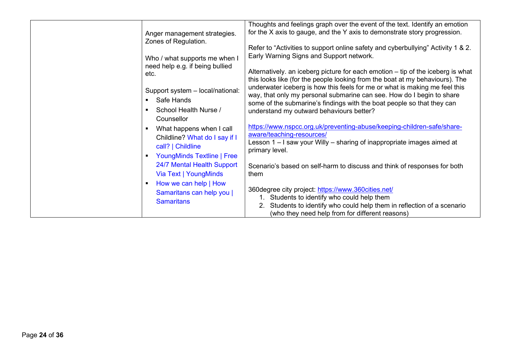| Anger management strategies.<br>Zones of Regulation.                    | Thoughts and feelings graph over the event of the text. Identify an emotion<br>for the X axis to gauge, and the Y axis to demonstrate story progression.                                                                      |
|-------------------------------------------------------------------------|-------------------------------------------------------------------------------------------------------------------------------------------------------------------------------------------------------------------------------|
| Who / what supports me when I                                           | Refer to "Activities to support online safety and cyberbullying" Activity 1 & 2.<br>Early Warning Signs and Support network.                                                                                                  |
| need help e.g. if being bullied<br>etc.                                 | Alternatively, an iceberg picture for each emotion – tip of the iceberg is what<br>this looks like (for the people looking from the boat at my behaviours). The                                                               |
| Support system - local/national:<br>Safe Hands                          | underwater iceberg is how this feels for me or what is making me feel this<br>way, that only my personal submarine can see. How do I begin to share<br>some of the submarine's findings with the boat people so that they can |
| School Health Nurse /<br>Counsellor                                     | understand my outward behaviours better?                                                                                                                                                                                      |
| What happens when I call<br>л<br>Childline? What do I say if I          | https://www.nspcc.org.uk/preventing-abuse/keeping-children-safe/share-<br>aware/teaching-resources/<br>Lesson 1 – I saw your Willy – sharing of inappropriate images aimed at                                                 |
| call?   Childline<br><b>YoungMinds Textline   Free</b>                  | primary level.                                                                                                                                                                                                                |
| 24/7 Mental Health Support<br>Via Text   YoungMinds                     | Scenario's based on self-harm to discuss and think of responses for both<br>them                                                                                                                                              |
| How we can help   How<br>Samaritans can help you  <br><b>Samaritans</b> | 360degree city project: https://www.360cities.net/<br>1. Students to identify who could help them<br>Students to identify who could help them in reflection of a scenario<br>(who they need help from for different reasons)  |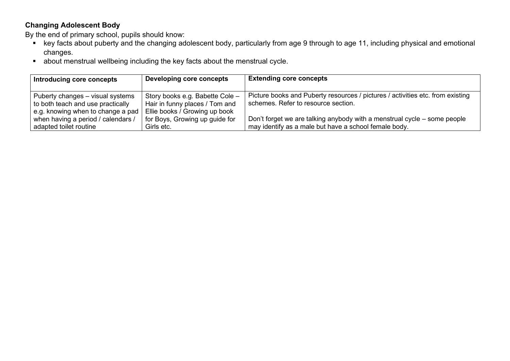## **Changing Adolescent Body**

- ↓ key facts about puberty and the changing adolescent body, particularly from age 9 through to age 11, including physical and emotional changes.
- about menstrual wellbeing including the key facts about the menstrual cycle.

| Introducing core concepts                                                                                  | Developing core concepts                                                                           | <b>Extending core concepts</b>                                                                                                    |
|------------------------------------------------------------------------------------------------------------|----------------------------------------------------------------------------------------------------|-----------------------------------------------------------------------------------------------------------------------------------|
| Puberty changes – visual systems<br>to both teach and use practically<br>e.g. knowing when to change a pad | Story books e.g. Babette Cole -<br>Hair in funny places / Tom and<br>Ellie books / Growing up book | Picture books and Puberty resources / pictures / activities etc. from existing<br>schemes. Refer to resource section.             |
| when having a period / calendars /<br>adapted toilet routine                                               | for Boys, Growing up guide for<br>Girls etc.                                                       | Don't forget we are talking anybody with a menstrual cycle – some people<br>may identify as a male but have a school female body. |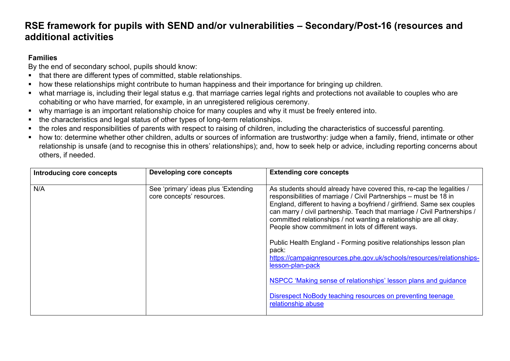# **RSE framework for pupils with SEND and/or vulnerabilities – Secondary/Post-16 (resources and additional activities**

## **Families**

- that there are different types of committed, stable relationships.
- how these relationships might contribute to human happiness and their importance for bringing up children.
- what marriage is, including their legal status e.g. that marriage carries legal rights and protections not available to couples who are cohabiting or who have married, for example, in an unregistered religious ceremony.
- why marriage is an important relationship choice for many couples and why it must be freely entered into.
- the characteristics and legal status of other types of long-term relationships.
- the roles and responsibilities of parents with respect to raising of children, including the characteristics of successful parenting.
- how to: determine whether other children, adults or sources of information are trustworthy: judge when a family, friend, intimate or other relationship is unsafe (and to recognise this in others' relationships); and, how to seek help or advice, including reporting concerns about others, if needed.

| Introducing core concepts | Developing core concepts                                         | <b>Extending core concepts</b>                                                                                                                                                                                                                                                                                                                                                                                                                                                                                                                                                                                                                                                                                                                                   |
|---------------------------|------------------------------------------------------------------|------------------------------------------------------------------------------------------------------------------------------------------------------------------------------------------------------------------------------------------------------------------------------------------------------------------------------------------------------------------------------------------------------------------------------------------------------------------------------------------------------------------------------------------------------------------------------------------------------------------------------------------------------------------------------------------------------------------------------------------------------------------|
| N/A                       | See 'primary' ideas plus 'Extending<br>core concepts' resources. | As students should already have covered this, re-cap the legalities /<br>responsibilities of marriage / Civil Partnerships – must be 18 in<br>England, different to having a boyfriend / girlfriend. Same sex couples<br>can marry / civil partnership. Teach that marriage / Civil Partnerships /<br>committed relationships / not wanting a relationship are all okay.<br>People show commitment in lots of different ways.<br>Public Health England - Forming positive relationships lesson plan<br>pack:<br>https://campaignresources.phe.gov.uk/schools/resources/relationships-<br>lesson-plan-pack<br>NSPCC 'Making sense of relationships' lesson plans and guidance<br>Disrespect NoBody teaching resources on preventing teenage<br>relationship abuse |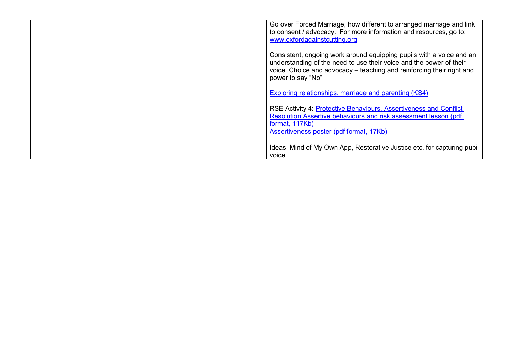| Go over Forced Marriage, how different to arranged marriage and link<br>to consent / advocacy. For more information and resources, go to:<br>www.oxfordagainstcutting.org                                                                 |
|-------------------------------------------------------------------------------------------------------------------------------------------------------------------------------------------------------------------------------------------|
| Consistent, ongoing work around equipping pupils with a voice and an<br>understanding of the need to use their voice and the power of their<br>voice. Choice and advocacy - teaching and reinforcing their right and<br>power to say "No" |
| <b>Exploring relationships, marriage and parenting (KS4)</b>                                                                                                                                                                              |
| RSE Activity 4: Protective Behaviours, Assertiveness and Conflict<br>Resolution Assertive behaviours and risk assessment lesson (pdf<br>format, 117Kb)<br>Assertiveness poster (pdf format, 17Kb)                                         |
| Ideas: Mind of My Own App, Restorative Justice etc. for capturing pupil<br>voice.                                                                                                                                                         |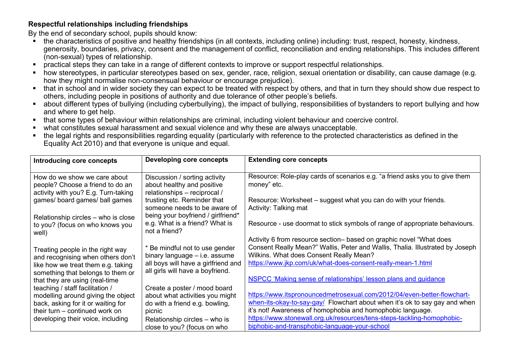## **Respectful relationships including friendships**

- the characteristics of positive and healthy friendships (in all contexts, including online) including: trust, respect, honesty, kindness, generosity, boundaries, privacy, consent and the management of conflict, reconciliation and ending relationships. This includes different (non-sexual) types of relationship.
- practical steps they can take in a range of different contexts to improve or support respectful relationships.
- how stereotypes, in particular stereotypes based on sex, gender, race, religion, sexual orientation or disability, can cause damage (e.g. how they might normalise non-consensual behaviour or encourage prejudice).
- that in school and in wider society they can expect to be treated with respect by others, and that in turn they should show due respect to others, including people in positions of authority and due tolerance of other people's beliefs.
- about different types of bullying (including cyberbullying), the impact of bullying, responsibilities of bystanders to report bullying and how and where to get help.
- that some types of behaviour within relationships are criminal, including violent behaviour and coercive control.
- what constitutes sexual harassment and sexual violence and why these are always unacceptable.
- the legal rights and responsibilities regarding equality (particularly with reference to the protected characteristics as defined in the Equality Act 2010) and that everyone is unique and equal.

| Introducing core concepts                                                                               | Developing core concepts                                                                          | <b>Extending core concepts</b>                                                             |
|---------------------------------------------------------------------------------------------------------|---------------------------------------------------------------------------------------------------|--------------------------------------------------------------------------------------------|
| How do we show we care about<br>people? Choose a friend to do an<br>activity with you? E.g. Turn-taking | Discussion / sorting activity<br>about healthy and positive<br>relationships - reciprocal /       | Resource: Role-play cards of scenarios e.g. "a friend asks you to give them<br>money" etc. |
| games/ board games/ ball games                                                                          | trusting etc. Reminder that<br>someone needs to be aware of<br>being your boyfriend / girlfriend* | Resource: Worksheet - suggest what you can do with your friends.<br>Activity: Talking mat  |
| Relationship circles – who is close<br>to you? (focus on who knows you<br>well)                         | e.g. What is a friend? What is<br>not a friend?                                                   | Resource - use doormat to stick symbols of range of appropriate behaviours.                |
|                                                                                                         |                                                                                                   | Activity 6 from resource section- based on graphic novel "What does                        |
| Treating people in the right way                                                                        | * Be mindful not to use gender                                                                    | Consent Really Mean?" Wallis, Peter and Wallis, Thalia. Illustrated by Joseph              |
| and recognising when others don't                                                                       | binary language - i.e. assume                                                                     | Wilkins. What does Consent Really Mean?                                                    |
| like how we treat them e.g. taking<br>something that belongs to them or                                 | all boys will have a girlfriend and<br>all girls will have a boyfriend.                           | https://www.jkp.com/uk/what-does-consent-really-mean-1.html                                |
| that they are using (real-time                                                                          |                                                                                                   | NSPCC 'Making sense of relationships' lesson plans and guidance                            |
| teaching / staff facilitation /                                                                         | Create a poster / mood board                                                                      |                                                                                            |
| modelling around giving the object                                                                      | about what activities you might                                                                   | https://www.itspronouncedmetrosexual.com/2012/04/even-better-flowchart-                    |
| back, asking for it or waiting for                                                                      | do with a friend e.g. bowling,                                                                    | when-its-okay-to-say-gay/ Flowchart about when it's ok to say gay and when                 |
| their turn – continued work on                                                                          | picnic                                                                                            | it's not! Awareness of homophobia and homophobic language.                                 |
| developing their voice, including                                                                       | Relationship circles – who is                                                                     | https://www.stonewall.org.uk/resources/tens-steps-tackling-homophobic-                     |
|                                                                                                         | close to you? (focus on who                                                                       | biphobic-and-transphobic-language-your-school                                              |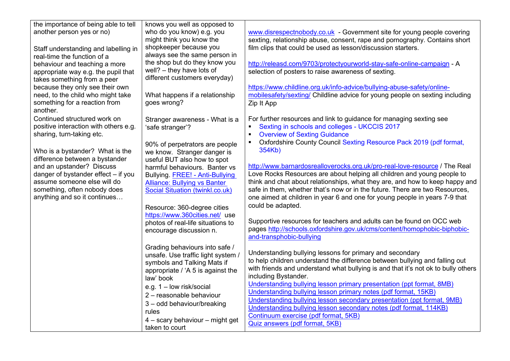| the importance of being able to tell                             | knows you well as opposed to                                           |                                                                                   |
|------------------------------------------------------------------|------------------------------------------------------------------------|-----------------------------------------------------------------------------------|
| another person yes or no)                                        | who do you know) e.g. you                                              | www.disrespectnobody.co.uk - Government site for young people covering            |
|                                                                  | might think you know the                                               | sexting, relationship abuse, consent, rape and pornography. Contains short        |
| Staff understanding and labelling in                             | shopkeeper because you                                                 | film clips that could be used as lesson/discussion starters.                      |
| real-time the function of a                                      | always see the same person in                                          |                                                                                   |
| behaviour and teaching a more                                    | the shop but do they know you                                          | http://releasd.com/9703/protectyourworld-stay-safe-online-campaign - A            |
| appropriate way e.g. the pupil that                              | well? $-$ they have lots of                                            | selection of posters to raise awareness of sexting.                               |
| takes something from a peer                                      | different customers everyday)                                          |                                                                                   |
| because they only see their own                                  |                                                                        | https://www.childline.org.uk/info-advice/bullying-abuse-safety/online-            |
| need, to the child who might take                                | What happens if a relationship                                         | mobilesafety/sexting/ Childline advice for young people on sexting including      |
| something for a reaction from                                    | goes wrong?                                                            | Zip It App                                                                        |
| another.                                                         |                                                                        |                                                                                   |
| Continued structured work on                                     | Stranger awareness - What is a                                         | For further resources and link to guidance for managing sexting see               |
| positive interaction with others e.g.                            | 'safe stranger'?                                                       | Sexting in schools and colleges - UKCCIS 2017<br>$\blacksquare$<br>$\blacksquare$ |
| sharing, turn-taking etc.                                        |                                                                        | <b>Overview of Sexting Guidance</b><br>$\blacksquare$                             |
|                                                                  | 90% of perpetrators are people                                         | Oxfordshire County Council Sexting Resource Pack 2019 (pdf format,<br>354Kb)      |
| Who is a bystander? What is the                                  | we know. Stranger danger is                                            |                                                                                   |
| difference between a bystander                                   | useful BUT also how to spot                                            | http://www.barnardosrealloverocks.org.uk/pro-real-love-resource / The Real        |
| and an upstander? Discuss<br>danger of bystander effect - if you | harmful behaviours. Banter vs                                          | Love Rocks Resources are about helping all children and young people to           |
| assume someone else will do                                      | Bullying. FREE! - Anti-Bullying<br><b>Alliance: Bullying vs Banter</b> | think and chat about relationships, what they are, and how to keep happy and      |
| something, often nobody does                                     | <b>Social Situation (twinkl.co.uk)</b>                                 | safe in them, whether that's now or in the future. There are two Resources,       |
| anything and so it continues                                     |                                                                        | one aimed at children in year 6 and one for young people in years 7-9 that        |
|                                                                  | Resource: 360-degree cities                                            | could be adapted.                                                                 |
|                                                                  | https://www.360cities.net/ use                                         |                                                                                   |
|                                                                  | photos of real-life situations to                                      | Supportive resources for teachers and adults can be found on OCC web              |
|                                                                  | encourage discussion n.                                                | pages http://schools.oxfordshire.gov.uk/cms/content/homophobic-biphobic-          |
|                                                                  |                                                                        | and-transphobic-bullying                                                          |
|                                                                  | Grading behaviours into safe /                                         |                                                                                   |
|                                                                  | unsafe. Use traffic light system /                                     | Understanding bullying lessons for primary and secondary                          |
|                                                                  | symbols and Talking Mats if                                            | to help children understand the difference between bullying and falling out       |
|                                                                  | appropriate / 'A 5 is against the                                      | with friends and understand what bullying is and that it's not ok to bully others |
|                                                                  | law' book                                                              | including Bystander.                                                              |
|                                                                  | e.g. 1 - low risk/social                                               | Understanding bullying lesson primary presentation (ppt format, 8MB)              |
|                                                                  | 2 - reasonable behaviour                                               | Understanding bullying lesson primary notes (pdf format, 15KB)                    |
|                                                                  | 3 - odd behaviour/breaking                                             | Understanding bullying lesson secondary presentation (ppt format, 9MB)            |
|                                                                  | rules                                                                  | Understanding bullying lesson secondary notes (pdf format, 114KB)                 |
|                                                                  | $4 -$ scary behaviour $-$ might get                                    | Continuum exercise (pdf format, 5KB)                                              |
|                                                                  | taken to court                                                         | Quiz answers (pdf format, 5KB)                                                    |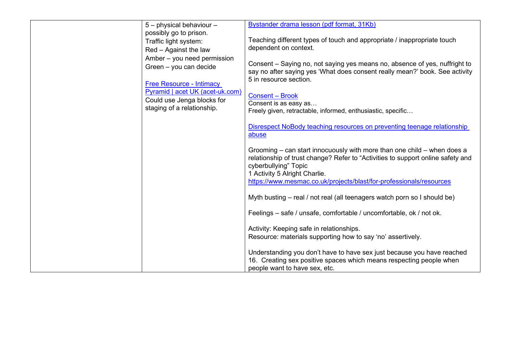|                       | 5 - physical behaviour -        | Bystander drama lesson (pdf format, 31Kb)                                                                                                                  |
|-----------------------|---------------------------------|------------------------------------------------------------------------------------------------------------------------------------------------------------|
|                       | possibly go to prison.          |                                                                                                                                                            |
| Traffic light system: |                                 | Teaching different types of touch and appropriate / inappropriate touch                                                                                    |
|                       | Red - Against the law           | dependent on context.                                                                                                                                      |
|                       | Amber – you need permission     |                                                                                                                                                            |
|                       | Green - you can decide          | Consent – Saying no, not saying yes means no, absence of yes, nuffright to                                                                                 |
|                       |                                 | say no after saying yes 'What does consent really mean?' book. See activity                                                                                |
|                       | <b>Free Resource - Intimacy</b> | 5 in resource section.                                                                                                                                     |
|                       | Pyramid   acet UK (acet-uk.com) |                                                                                                                                                            |
|                       | Could use Jenga blocks for      | <b>Consent - Brook</b>                                                                                                                                     |
|                       | staging of a relationship.      | Consent is as easy as                                                                                                                                      |
|                       |                                 | Freely given, retractable, informed, enthusiastic, specific                                                                                                |
|                       |                                 |                                                                                                                                                            |
|                       |                                 | Disrespect NoBody teaching resources on preventing teenage relationship                                                                                    |
|                       |                                 | abuse                                                                                                                                                      |
|                       |                                 |                                                                                                                                                            |
|                       |                                 | Grooming – can start innocuously with more than one child – when does a<br>relationship of trust change? Refer to "Activities to support online safety and |
|                       |                                 | cyberbullying" Topic                                                                                                                                       |
|                       |                                 | 1 Activity 5 Alright Charlie.                                                                                                                              |
|                       |                                 | https://www.mesmac.co.uk/projects/blast/for-professionals/resources                                                                                        |
|                       |                                 |                                                                                                                                                            |
|                       |                                 | Myth busting – real / not real (all teenagers watch porn so I should be)                                                                                   |
|                       |                                 |                                                                                                                                                            |
|                       |                                 | Feelings – safe / unsafe, comfortable / uncomfortable, ok / not ok.                                                                                        |
|                       |                                 |                                                                                                                                                            |
|                       |                                 | Activity: Keeping safe in relationships.                                                                                                                   |
|                       |                                 | Resource: materials supporting how to say 'no' assertively.                                                                                                |
|                       |                                 |                                                                                                                                                            |
|                       |                                 | Understanding you don't have to have sex just because you have reached                                                                                     |
|                       |                                 | 16. Creating sex positive spaces which means respecting people when                                                                                        |
|                       |                                 | people want to have sex, etc.                                                                                                                              |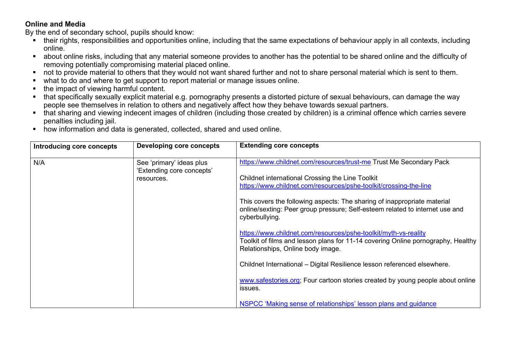## **Online and Media**

- their rights, responsibilities and opportunities online, including that the same expectations of behaviour apply in all contexts, including online.
- **EXT** about online risks, including that any material someone provides to another has the potential to be shared online and the difficulty of removing potentially compromising material placed online.
- not to provide material to others that they would not want shared further and not to share personal material which is sent to them.
- what to do and where to get support to report material or manage issues online.
- the impact of viewing harmful content.
- that specifically sexually explicit material e.g. pornography presents a distorted picture of sexual behaviours, can damage the way people see themselves in relation to others and negatively affect how they behave towards sexual partners.
- that sharing and viewing indecent images of children (including those created by children) is a criminal offence which carries severe penalties including jail.
- how information and data is generated, collected, shared and used online.

| Introducing core concepts | Developing core concepts                              | <b>Extending core concepts</b>                                                                                                                                                           |
|---------------------------|-------------------------------------------------------|------------------------------------------------------------------------------------------------------------------------------------------------------------------------------------------|
| N/A                       | See 'primary' ideas plus<br>'Extending core concepts' | https://www.childnet.com/resources/trust-me Trust Me Secondary Pack                                                                                                                      |
|                           | resources.                                            | Childnet international Crossing the Line Toolkit                                                                                                                                         |
|                           |                                                       | https://www.childnet.com/resources/pshe-toolkit/crossing-the-line                                                                                                                        |
|                           |                                                       | This covers the following aspects: The sharing of inappropriate material<br>online/sexting: Peer group pressure; Self-esteem related to internet use and<br>cyberbullying.               |
|                           |                                                       | https://www.childnet.com/resources/pshe-toolkit/myth-vs-reality<br>Toolkit of films and lesson plans for 11-14 covering Online pornography, Healthy<br>Relationships, Online body image. |
|                           |                                                       | Childnet International – Digital Resilience lesson referenced elsewhere.                                                                                                                 |
|                           |                                                       | www.safestories.org; Four cartoon stories created by young people about online<br>issues.                                                                                                |
|                           |                                                       | NSPCC 'Making sense of relationships' lesson plans and guidance                                                                                                                          |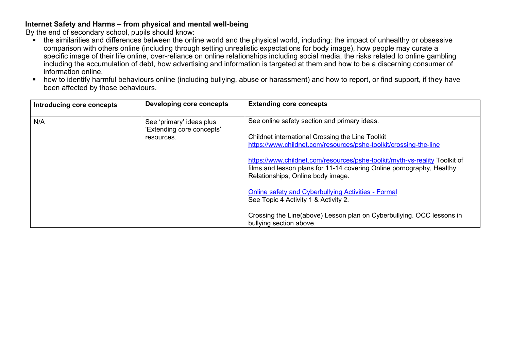### **Internet Safety and Harms – from physical and mental well-being**

- . the similarities and differences between the online world and the physical world, including: the impact of unhealthy or obsessive comparison with others online (including through setting unrealistic expectations for body image), how people may curate a specific image of their life online, over-reliance on online relationships including social media, the risks related to online gambling including the accumulation of debt, how advertising and information is targeted at them and how to be a discerning consumer of information online.
- how to identify harmful behaviours online (including bullying, abuse or harassment) and how to report, or find support, if they have been affected by those behaviours.

| Introducing core concepts | Developing core concepts                                            | <b>Extending core concepts</b>                                                                                                                                                           |
|---------------------------|---------------------------------------------------------------------|------------------------------------------------------------------------------------------------------------------------------------------------------------------------------------------|
| N/A                       | See 'primary' ideas plus<br>'Extending core concepts'<br>resources. | See online safety section and primary ideas.<br>Childnet international Crossing the Line Toolkit<br>https://www.childnet.com/resources/pshe-toolkit/crossing-the-line                    |
|                           |                                                                     | https://www.childnet.com/resources/pshe-toolkit/myth-vs-reality Toolkit of<br>films and lesson plans for 11-14 covering Online pornography, Healthy<br>Relationships, Online body image. |
|                           |                                                                     | <b>Online safety and Cyberbullying Activities - Formal</b><br>See Topic 4 Activity 1 & Activity 2.                                                                                       |
|                           |                                                                     | Crossing the Line(above) Lesson plan on Cyberbullying. OCC lessons in<br>bullying section above.                                                                                         |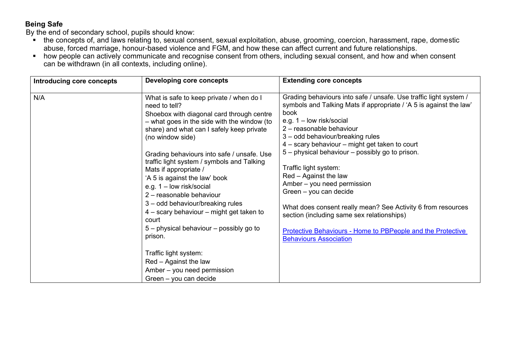## **Being Safe**

- the concepts of, and laws relating to, sexual consent, sexual exploitation, abuse, grooming, coercion, harassment, rape, domestic abuse, forced marriage, honour-based violence and FGM, and how these can affect current and future relationships.
- how people can actively communicate and recognise consent from others, including sexual consent, and how and when consent can be withdrawn (in all contexts, including online).

| Introducing core concepts | <b>Developing core concepts</b>                                                                                                                                                                                                                                                                                                                                                                                                                                                                                                                                                                                    | <b>Extending core concepts</b>                                                                                                                                                                                                                                                                                                                                                                                                                                                                                                                                                                                                                                              |
|---------------------------|--------------------------------------------------------------------------------------------------------------------------------------------------------------------------------------------------------------------------------------------------------------------------------------------------------------------------------------------------------------------------------------------------------------------------------------------------------------------------------------------------------------------------------------------------------------------------------------------------------------------|-----------------------------------------------------------------------------------------------------------------------------------------------------------------------------------------------------------------------------------------------------------------------------------------------------------------------------------------------------------------------------------------------------------------------------------------------------------------------------------------------------------------------------------------------------------------------------------------------------------------------------------------------------------------------------|
| N/A                       | What is safe to keep private / when do I<br>need to tell?<br>Shoebox with diagonal card through centre<br>- what goes in the side with the window (to<br>share) and what can I safely keep private<br>(no window side)<br>Grading behaviours into safe / unsafe. Use<br>traffic light system / symbols and Talking<br>Mats if appropriate /<br>'A 5 is against the law' book<br>e.g. $1 -$ low risk/social<br>2 - reasonable behaviour<br>3 – odd behaviour/breaking rules<br>$4 -$ scary behaviour $-$ might get taken to<br>court<br>5 – physical behaviour – possibly go to<br>prison.<br>Traffic light system: | Grading behaviours into safe / unsafe. Use traffic light system /<br>symbols and Talking Mats if appropriate / 'A 5 is against the law'<br>book<br>e.g. $1 -$ low risk/social<br>2 - reasonable behaviour<br>3 - odd behaviour/breaking rules<br>4 - scary behaviour - might get taken to court<br>5 - physical behaviour - possibly go to prison.<br>Traffic light system:<br>Red - Against the law<br>Amber - you need permission<br>Green - you can decide<br>What does consent really mean? See Activity 6 from resources<br>section (including same sex relationships)<br>Protective Behaviours - Home to PBPeople and the Protective<br><b>Behaviours Association</b> |
|                           | Red - Against the law<br>Amber - you need permission                                                                                                                                                                                                                                                                                                                                                                                                                                                                                                                                                               |                                                                                                                                                                                                                                                                                                                                                                                                                                                                                                                                                                                                                                                                             |
|                           | Green - you can decide                                                                                                                                                                                                                                                                                                                                                                                                                                                                                                                                                                                             |                                                                                                                                                                                                                                                                                                                                                                                                                                                                                                                                                                                                                                                                             |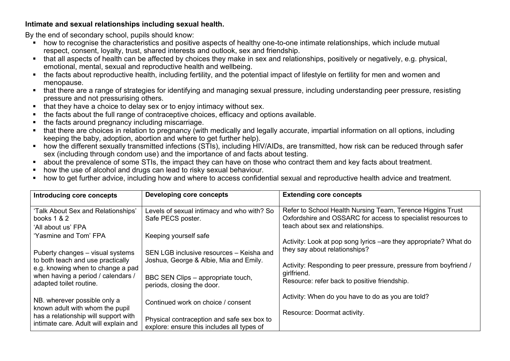#### **Intimate and sexual relationships including sexual health.**

- how to recognise the characteristics and positive aspects of healthy one-to-one intimate relationships, which include mutual respect, consent, loyalty, trust, shared interests and outlook, sex and friendship.
- that all aspects of health can be affected by choices they make in sex and relationships, positively or negatively, e.g. physical, emotional, mental, sexual and reproductive health and wellbeing.
- the facts about reproductive health, including fertility, and the potential impact of lifestyle on fertility for men and women and menopause.
- that there are a range of strategies for identifying and managing sexual pressure, including understanding peer pressure, resisting pressure and not pressurising others.
- that they have a choice to delay sex or to enjoy intimacy without sex.
- the facts about the full range of contraceptive choices, efficacy and options available.
- the facts around pregnancy including miscarriage.
- that there are choices in relation to pregnancy (with medically and legally accurate, impartial information on all options, including keeping the baby, adoption, abortion and where to get further help).
- how the different sexually transmitted infections (STIs), including HIV/AIDs, are transmitted, how risk can be reduced through safer sex (including through condom use) and the importance of and facts about testing.
- about the prevalence of some STIs, the impact they can have on those who contract them and key facts about treatment.
- how the use of alcohol and drugs can lead to risky sexual behaviour.
- how to get further advice, including how and where to access confidential sexual and reproductive health advice and treatment.

| Introducing core concepts                                               | Developing core concepts                                                                 | <b>Extending core concepts</b>                                                                                                                                   |
|-------------------------------------------------------------------------|------------------------------------------------------------------------------------------|------------------------------------------------------------------------------------------------------------------------------------------------------------------|
| 'Talk About Sex and Relationships'<br>books 1 & 2<br>'All about us' FPA | Levels of sexual intimacy and who with? So<br>Safe PECS poster.                          | Refer to School Health Nursing Team, Terence Higgins Trust<br>Oxfordshire and OSSARC for access to specialist resources to<br>teach about sex and relationships. |
| 'Yasmine and Tom' FPA                                                   | Keeping yourself safe                                                                    | Activity: Look at pop song lyrics –are they appropriate? What do                                                                                                 |
| Puberty changes - visual systems<br>to both teach and use practically   | SEN LGB inclusive resources - Keisha and<br>Joshua, George & Albie, Mia and Emily.       | they say about relationships?                                                                                                                                    |
| e.g. knowing when to change a pad<br>when having a period / calendars / | BBC SEN Clips – appropriate touch,                                                       | Activity: Responding to peer pressure, pressure from boyfriend /<br>girlfriend.                                                                                  |
| adapted toilet routine.                                                 | periods, closing the door.                                                               | Resource: refer back to positive friendship.                                                                                                                     |
| NB. wherever possible only a                                            | Continued work on choice / consent                                                       | Activity: When do you have to do as you are told?                                                                                                                |
| known adult with whom the pupil<br>has a relationship will support with |                                                                                          | Resource: Doormat activity.                                                                                                                                      |
| intimate care. Adult will explain and                                   | Physical contraception and safe sex box to<br>explore: ensure this includes all types of |                                                                                                                                                                  |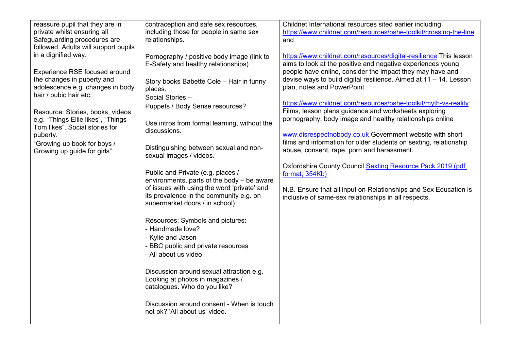| reassure pupil that they are in      | contraception and safe sex resources,        | Childnet International resources sited earlier including          |
|--------------------------------------|----------------------------------------------|-------------------------------------------------------------------|
| private whilst ensuring all          | including those for people in same sex       | https://www.childnet.com/resources/pshe-toolkit/crossing-the-line |
| Safeguarding procedures are          | relationships.                               | and                                                               |
| followed. Adults will support pupils |                                              |                                                                   |
| in a dignified way.                  | Pornography / positive body image (link to   | https://www.childnet.com/resources/digital-resilience This lesson |
|                                      | E-Safety and healthy relationships)          | aims to look at the positive and negative experiences young       |
| Experience RSE focused around        |                                              | people have online, consider the impact they may have and         |
| the changes in puberty and           | Story books Babette Cole - Hair in funny     | devise ways to build digital resilience. Aimed at 11 - 14. Lesson |
| adolescence e.g. changes in body     | places.                                      | plan, notes and PowerPoint                                        |
| hair / pubic hair etc.               | Social Stories -                             |                                                                   |
|                                      |                                              | https://www.childnet.com/resources/pshe-toolkit/myth-vs-reality   |
| Resource: Stories, books, videos     | Puppets / Body Sense resources?              | Films, lesson plans guidance and worksheets exploring             |
| e.g. "Things Ellie likes", "Things   |                                              | pornography, body image and healthy relationships online          |
| Tom likes". Social stories for       | Use intros from formal learning, without the |                                                                   |
| puberty.                             | discussions.                                 | www.disrespectnobody.co.uk Government website with short          |
| "Growing up book for boys /          |                                              | films and information for older students on sexting, relationship |
| Growing up guide for girls"          | Distinguishing between sexual and non-       | abuse, consent, rape, porn and harassment.                        |
|                                      | sexual images / videos.                      |                                                                   |
|                                      |                                              | Oxfordshire County Council Sexting Resource Pack 2019 (pdf        |
|                                      | Public and Private (e.g. places /            | format, 354Kb)                                                    |
|                                      | environments, parts of the body - be aware   |                                                                   |
|                                      | of issues with using the word 'private' and  | N.B. Ensure that all input on Relationships and Sex Education is  |
|                                      | its prevalence in the community e.g. on      | inclusive of same-sex relationships in all respects.              |
|                                      | supermarket doors / in school)               |                                                                   |
|                                      |                                              |                                                                   |
|                                      | Resources: Symbols and pictures:             |                                                                   |
|                                      | - Handmade love?                             |                                                                   |
|                                      | - Kylie and Jason                            |                                                                   |
|                                      |                                              |                                                                   |
|                                      | - BBC public and private resources           |                                                                   |
|                                      | - All about us video                         |                                                                   |
|                                      |                                              |                                                                   |
|                                      | Discussion around sexual attraction e.g.     |                                                                   |
|                                      | Looking at photos in magazines /             |                                                                   |
|                                      | catalogues. Who do you like?                 |                                                                   |
|                                      |                                              |                                                                   |
|                                      | Discussion around consent - When is touch    |                                                                   |
|                                      | not ok? 'All about us' video.                |                                                                   |
|                                      |                                              |                                                                   |